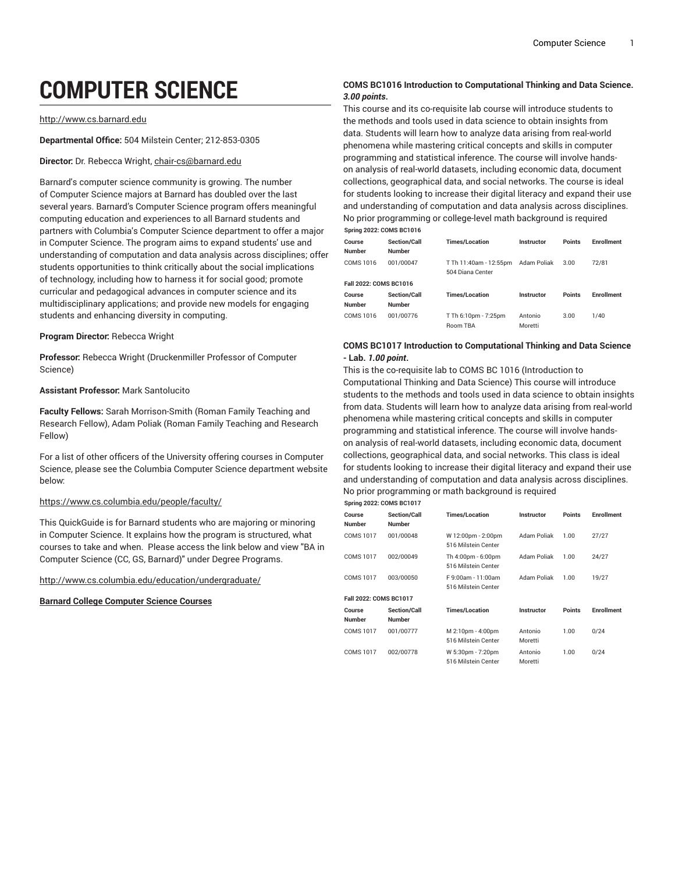# **COMPUTER SCIENCE**

#### [http://www.cs.barnard.edu](https://cs.barnard.edu/)

**Departmental Office:** 504 Milstein Center; 212-853-0305

#### **Director:** Dr. Rebecca Wright, [chair-cs@barnard.edu](mailto:chair-cs@barnard.edu)

Barnard's computer science community is growing. The number of Computer Science majors at Barnard has doubled over the last several years. Barnard's Computer Science program offers meaningful computing education and experiences to all Barnard students and partners with Columbia's Computer Science department to offer a major in Computer Science. The program aims to expand students' use and understanding of computation and data analysis across disciplines; offer students opportunities to think critically about the social implications of technology, including how to harness it for social good; promote curricular and pedagogical advances in computer science and its multidisciplinary applications; and provide new models for engaging students and enhancing diversity in computing.

#### **Program Director:** Rebecca Wright

**Professor:** Rebecca Wright (Druckenmiller Professor of Computer Science)

#### **Assistant Professor:** Mark Santolucito

**Faculty Fellows:** Sarah Morrison-Smith (Roman Family Teaching and Research Fellow), Adam Poliak (Roman Family Teaching and Research Fellow)

For a list of other officers of the University offering courses in Computer Science, please see the Columbia Computer Science department website below:

#### <https://www.cs.columbia.edu/people/faculty/>

This QuickGuide is for Barnard students who are majoring or minoring in Computer Science. It explains how the program is structured, what courses to take and when. Please access the link below and view "BA in Computer Science (CC, GS, Barnard)" under Degree Programs.

<http://www.cs.columbia.edu/education/undergraduate/>

#### **Barnard College Computer Science Courses**

#### **COMS BC1016 Introduction to Computational Thinking and Data Science.** *3.00 points***.**

This course and its co-requisite lab course will introduce students to the methods and tools used in data science to obtain insights from data. Students will learn how to analyze data arising from real-world phenomena while mastering critical concepts and skills in computer programming and statistical inference. The course will involve handson analysis of real-world datasets, including economic data, document collections, geographical data, and social networks. The course is ideal for students looking to increase their digital literacy and expand their use and understanding of computation and data analysis across disciplines. No prior programming or college-level math background is required **Spring 2022: COMS BC1016**

| Course<br><b>Number</b> | <b>Section/Call</b><br><b>Number</b> | <b>Times/Location</b>                      | Instructor  | <b>Points</b> | <b>Enrollment</b> |
|-------------------------|--------------------------------------|--------------------------------------------|-------------|---------------|-------------------|
|                         |                                      |                                            |             |               |                   |
| COMS 1016               | 001/00047                            | T Th 11:40am - 12:55pm<br>504 Diana Center | Adam Poliak | 3.00          | 72/81             |
| Fall 2022: COMS BC1016  |                                      |                                            |             |               |                   |
| Course                  | <b>Section/Call</b>                  | <b>Times/Location</b>                      | Instructor  | <b>Points</b> | <b>Enrollment</b> |
| <b>Number</b>           | <b>Number</b>                        |                                            |             |               |                   |
| COMS 1016               | 001/00776                            | T Th 6:10pm - 7:25pm                       | Antonio     | 3.00          | 1/40              |
|                         |                                      | Room TBA                                   | Moretti     |               |                   |

#### **COMS BC1017 Introduction to Computational Thinking and Data Science - Lab.** *1.00 point***.**

This is the co-requisite lab to COMS BC 1016 (Introduction to Computational Thinking and Data Science) This course will introduce students to the methods and tools used in data science to obtain insights from data. Students will learn how to analyze data arising from real-world phenomena while mastering critical concepts and skills in computer programming and statistical inference. The course will involve handson analysis of real-world datasets, including economic data, document collections, geographical data, and social networks. This class is ideal for students looking to increase their digital literacy and expand their use and understanding of computation and data analysis across disciplines. No prior programming or math background is required

|               | <b>Spring 2022: COMS BC1017</b> |     |
|---------------|---------------------------------|-----|
| <b>Cainse</b> | Castian ICall                   | Tiu |

| Course<br><b>Number</b>       | <b>Section/Call</b><br><b>Number</b> | Times/Location                            | <b>Instructor</b> | Points        | Enrollment        |
|-------------------------------|--------------------------------------|-------------------------------------------|-------------------|---------------|-------------------|
| <b>COMS 1017</b>              | 001/00048                            | W 12:00pm - 2:00pm<br>516 Milstein Center | Adam Poliak       | 1.00          | 27/27             |
| <b>COMS 1017</b>              | 002/00049                            | Th 4:00pm - 6:00pm<br>516 Milstein Center | Adam Poliak       | 1.00          | 24/27             |
| <b>COMS 1017</b>              | 003/00050                            | F 9:00am - 11:00am<br>516 Milstein Center | Adam Poliak       | 1.00          | 19/27             |
| <b>Fall 2022: COMS BC1017</b> |                                      |                                           |                   |               |                   |
| Course                        | Section/Call                         | <b>Times/Location</b>                     | <b>Instructor</b> | <b>Points</b> | <b>Enrollment</b> |
| <b>Number</b>                 | <b>Number</b>                        |                                           |                   |               |                   |
| <b>COMS 1017</b>              | 001/00777                            | M 2:10pm - 4:00pm                         | Antonio           | 1.00          | 0/24              |
|                               |                                      | 516 Milstein Center                       | Moretti           |               |                   |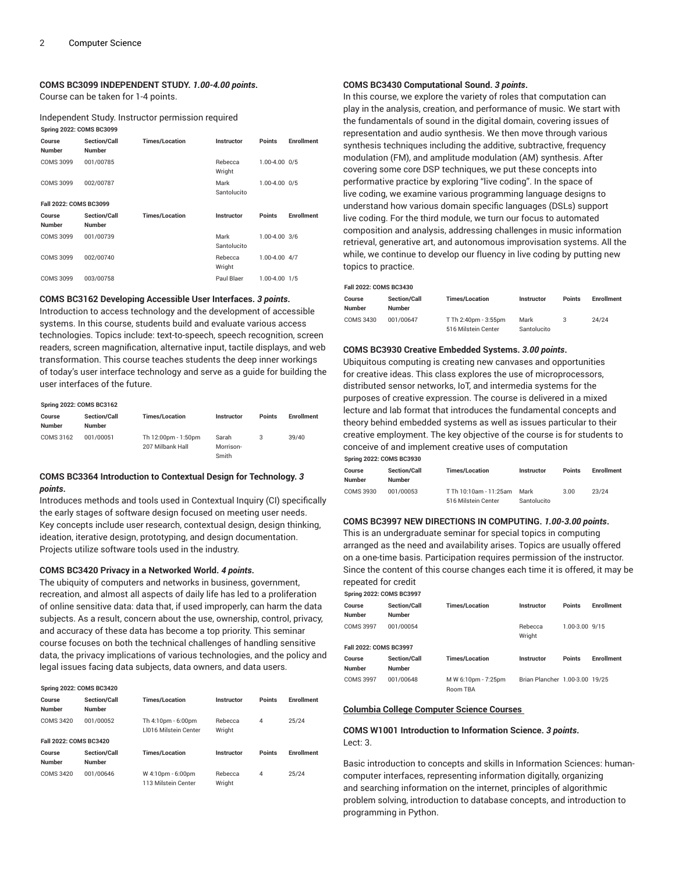#### **COMS BC3099 INDEPENDENT STUDY.** *1.00-4.00 points***.**

Course can be taken for 1-4 points.

Independent Study. Instructor permission required **Spring 2022: COMS BC3099**

| Course<br><b>Number</b> | <b>Section/Call</b><br><b>Number</b> | <b>Times/Location</b> | <b>Instructor</b>   | <b>Points</b> | <b>Enrollment</b> |
|-------------------------|--------------------------------------|-----------------------|---------------------|---------------|-------------------|
| COMS 3099               | 001/00785                            |                       | Rebecca<br>Wright   | 1.00-4.00 0/5 |                   |
| COMS 3099               | 002/00787                            |                       | Mark<br>Santolucito | 1.00-4.00 0/5 |                   |
| Fall 2022: COMS BC3099  |                                      |                       |                     |               |                   |
| Course                  | <b>Section/Call</b>                  | <b>Times/Location</b> | Instructor          | <b>Points</b> |                   |
| <b>Number</b>           | Number                               |                       |                     |               | <b>Enrollment</b> |
| COMS 3099               | 001/00739                            |                       | Mark<br>Santolucito | 1.00-4.00 3/6 |                   |
| COMS 3099               | 002/00740                            |                       | Rebecca<br>Wright   | 1.00-4.00 4/7 |                   |

#### **COMS BC3162 Developing Accessible User Interfaces.** *3 points***.**

Introduction to access technology and the development of accessible systems. In this course, students build and evaluate various access technologies. Topics include: text-to-speech, speech recognition, screen readers, screen magnification, alternative input, tactile displays, and web transformation. This course teaches students the deep inner workings of today's user interface technology and serve as a guide for building the user interfaces of the future.

#### **Spring 2022: COMS BC3162**

| Course<br><b>Number</b> | <b>Section/Call</b><br><b>Number</b> | <b>Times/Location</b>                   | Instructor         | <b>Points</b> | <b>Enrollment</b> |
|-------------------------|--------------------------------------|-----------------------------------------|--------------------|---------------|-------------------|
| COMS 3162               | 001/00051                            | Th 12:00pm - 1:50pm<br>207 Milbank Hall | Sarah<br>Morrison- | 3             | 39/40             |
|                         |                                      |                                         | Smith              |               |                   |

#### **COMS BC3364 Introduction to Contextual Design for Technology.** *3 points***.**

Introduces methods and tools used in Contextual Inquiry (CI) specifically the early stages of software design focused on meeting user needs. Key concepts include user research, contextual design, design thinking, ideation, iterative design, prototyping, and design documentation. Projects utilize software tools used in the industry.

#### **COMS BC3420 Privacy in a Networked World.** *4 points***.**

The ubiquity of computers and networks in business, government, recreation, and almost all aspects of daily life has led to a proliferation of online sensitive data: data that, if used improperly, can harm the data subjects. As a result, concern about the use, ownership, control, privacy, and accuracy of these data has become a top priority. This seminar course focuses on both the technical challenges of handling sensitive data, the privacy implications of various technologies, and the policy and legal issues facing data subjects, data owners, and data users.

| <b>Spring 2022: COMS BC3420</b> |                                      |                                             |                   |               |                   |  |  |  |
|---------------------------------|--------------------------------------|---------------------------------------------|-------------------|---------------|-------------------|--|--|--|
| Course<br><b>Number</b>         | Section/Call<br>Numher               | <b>Times/Location</b>                       | Instructor        | <b>Points</b> | <b>Fnrollment</b> |  |  |  |
| COMS 3420                       | 001/00052                            | Th 4:10pm - 6:00pm<br>LI016 Milstein Center | Rebecca<br>Wright | 4             | 25/24             |  |  |  |
| Fall 2022: COMS BC3420          |                                      |                                             |                   |               |                   |  |  |  |
| Course<br><b>Number</b>         | <b>Section/Call</b><br><b>Number</b> | <b>Times/Location</b>                       | Instructor        | <b>Points</b> | <b>Enrollment</b> |  |  |  |
| COMS 3420                       | 001/00646                            | W 4:10pm - 6:00pm<br>113 Milstein Center    | Rebecca<br>Wright | 4             | 25/24             |  |  |  |

#### **COMS BC3430 Computational Sound.** *3 points***.**

In this course, we explore the variety of roles that computation can play in the analysis, creation, and performance of music. We start with the fundamentals of sound in the digital domain, covering issues of representation and audio synthesis. We then move through various synthesis techniques including the additive, subtractive, frequency modulation (FM), and amplitude modulation (AM) synthesis. After covering some core DSP techniques, we put these concepts into performative practice by exploring "live coding". In the space of live coding, we examine various programming language designs to understand how various domain specific languages (DSLs) support live coding. For the third module, we turn our focus to automated composition and analysis, addressing challenges in music information retrieval, generative art, and autonomous improvisation systems. All the while, we continue to develop our fluency in live coding by putting new topics to practice.

#### **Fall 2022: COMS BC3430**

| Course<br>Number | <b>Section/Call</b><br><b>Number</b> | <b>Times/Location</b> | Instructor  | <b>Points</b> | <b>Enrollment</b> |
|------------------|--------------------------------------|-----------------------|-------------|---------------|-------------------|
| <b>COMS 3430</b> | 001/00647                            | T Th 2:40pm - 3:55pm  | Mark        |               | 24/24             |
|                  |                                      | 516 Milstein Center   | Santolucito |               |                   |

#### **COMS BC3930 Creative Embedded Systems.** *3.00 points***.**

Ubiquitous computing is creating new canvases and opportunities for creative ideas. This class explores the use of microprocessors, distributed sensor networks, IoT, and intermedia systems for the purposes of creative expression. The course is delivered in a mixed lecture and lab format that introduces the fundamental concepts and theory behind embedded systems as well as issues particular to their creative employment. The key objective of the course is for students to conceive of and implement creative uses of computation **Spring 2022: COMS BC3930**

| Course<br><b>Number</b> | <b>Section/Call</b><br><b>Number</b> | <b>Times/Location</b>  | Instructor  | <b>Points</b> | <b>Enrollment</b> |
|-------------------------|--------------------------------------|------------------------|-------------|---------------|-------------------|
|                         |                                      |                        |             |               |                   |
| <b>COMS 3930</b>        | 001/00053                            | T Th 10:10am - 11:25am | Mark        | 3.00          | 23/24             |
|                         |                                      | 516 Milstein Center    | Santolucito |               |                   |

#### **COMS BC3997 NEW DIRECTIONS IN COMPUTING.** *1.00-3.00 points***.**

This is an undergraduate seminar for special topics in computing arranged as the need and availability arises. Topics are usually offered on a one-time basis. Participation requires permission of the instructor. Since the content of this course changes each time it is offered, it may be repeated for credit

| <b>Spring 2022: COMS BC3997</b> |                                      |                                        |                                |                |                   |  |  |  |
|---------------------------------|--------------------------------------|----------------------------------------|--------------------------------|----------------|-------------------|--|--|--|
| Course<br><b>Number</b>         | <b>Section/Call</b><br><b>Number</b> | <b>Times/Location</b>                  | Instructor                     | <b>Points</b>  | <b>Enrollment</b> |  |  |  |
| <b>COMS 3997</b>                | 001/00054                            |                                        | Rebecca<br>Wright              | 1.00-3.00 9/15 |                   |  |  |  |
| Fall 2022: COMS BC3997          |                                      |                                        |                                |                |                   |  |  |  |
| Course<br><b>Number</b>         | <b>Section/Call</b><br><b>Number</b> | <b>Times/Location</b>                  | Instructor                     | Points         | <b>Enrollment</b> |  |  |  |
| <b>COMS 3997</b>                | 001/00648                            | M W 6:10pm - 7:25pm<br><b>Room TRA</b> | Brian Plancher 1.00-3.00 19/25 |                |                   |  |  |  |

#### **Columbia College Computer Science Courses**

#### **COMS W1001 Introduction to Information Science.** *3 points***.** Lect: 3.

Basic introduction to concepts and skills in Information Sciences: humancomputer interfaces, representing information digitally, organizing and searching information on the internet, principles of algorithmic problem solving, introduction to database concepts, and introduction to programming in Python.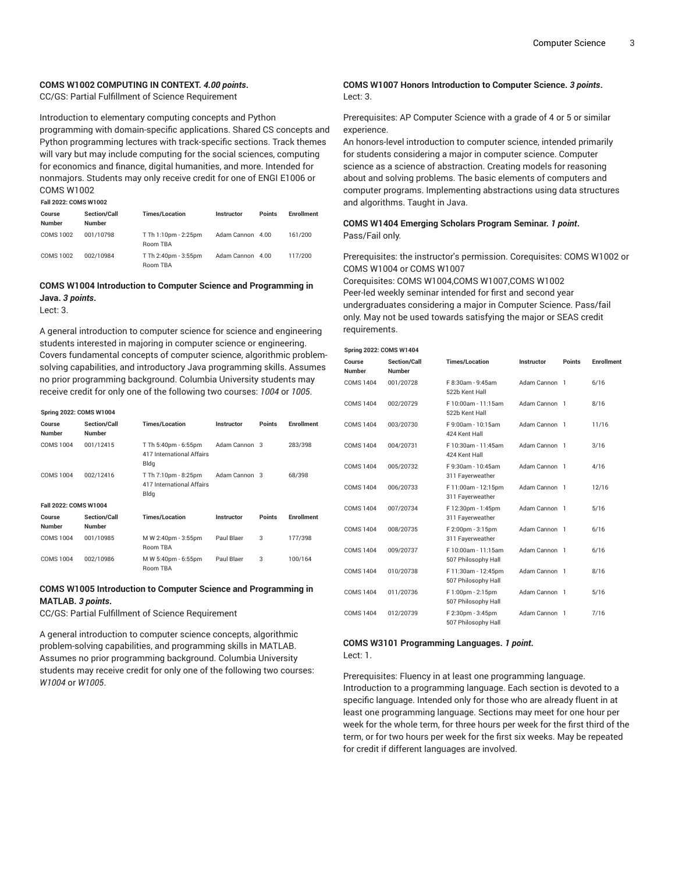#### **COMS W1002 COMPUTING IN CONTEXT.** *4.00 points***.**

CC/GS: Partial Fulfillment of Science Requirement

Introduction to elementary computing concepts and Python programming with domain-specific applications. Shared CS concepts and Python programming lectures with track-specific sections. Track themes will vary but may include computing for the social sciences, computing for economics and finance, digital humanities, and more. Intended for nonmajors. Students may only receive credit for one of ENGI E1006 or COMS W1002

| <b>Fall 2022: COMS W1002</b> |                         |                                      |                                         |                  |               |            |
|------------------------------|-------------------------|--------------------------------------|-----------------------------------------|------------------|---------------|------------|
|                              | Course<br><b>Number</b> | <b>Section/Call</b><br><b>Number</b> | <b>Times/Location</b>                   | Instructor       | <b>Points</b> | Enrollment |
|                              | COMS 1002               | 001/10798                            | T Th 1:10pm - 2:25pm<br><b>Room TBA</b> | Adam Cannon 4.00 |               | 161/200    |
|                              | <b>COMS 1002</b>        | 002/10984                            | T Th 2:40pm - 3:55pm<br><b>Room TRA</b> | Adam Cannon 4.00 |               | 117/200    |

### **COMS W1004 Introduction to Computer Science and Programming in Java.** *3 points***.**

Lect: 3.

A general introduction to computer science for science and engineering students interested in majoring in computer science or engineering. Covers fundamental concepts of computer science, algorithmic problemsolving capabilities, and introductory Java programming skills. Assumes no prior programming background. Columbia University students may receive credit for only one of the following two courses: *1004* or *1005*.

| <b>Spring 2022: COMS W1004</b> |                                      |                                                           |               |               |                   |
|--------------------------------|--------------------------------------|-----------------------------------------------------------|---------------|---------------|-------------------|
| Course<br><b>Number</b>        | Section/Call<br><b>Number</b>        | <b>Times/Location</b>                                     | Instructor    | <b>Points</b> | <b>Enrollment</b> |
| <b>COMS 1004</b>               | 001/12415                            | T Th 5:40pm - 6:55pm<br>417 International Affairs<br>Bldg | Adam Cannon 3 |               | 283/398           |
| <b>COMS 1004</b>               | 002/12416                            | T Th 7:10pm - 8:25pm<br>417 International Affairs<br>Bldg | Adam Cannon 3 |               | 68/398            |
| Fall 2022: COMS W1004          |                                      |                                                           |               |               |                   |
| Course<br><b>Number</b>        | <b>Section/Call</b><br><b>Number</b> | <b>Times/Location</b>                                     | Instructor    | <b>Points</b> | <b>Enrollment</b> |
| COMS 1004                      | 001/10985                            | M W 2:40pm - 3:55pm<br>Room TBA                           | Paul Blaer    | 3             | 177/398           |
| COMS 1004                      | 002/10986                            | M W 5:40pm - 6:55pm<br>Room TBA                           | Paul Blaer    | 3             | 100/164           |

#### **COMS W1005 Introduction to Computer Science and Programming in MATLAB.** *3 points***.**

CC/GS: Partial Fulfillment of Science Requirement

A general introduction to computer science concepts, algorithmic problem-solving capabilities, and programming skills in MATLAB. Assumes no prior programming background. Columbia University students may receive credit for only one of the following two courses: *W1004* or *W1005*.

#### **COMS W1007 Honors Introduction to Computer Science.** *3 points***.** Lect: 3.

Prerequisites: AP Computer Science with a grade of 4 or 5 or similar experience.

An honors-level introduction to computer science, intended primarily for students considering a major in computer science. Computer science as a science of abstraction. Creating models for reasoning about and solving problems. The basic elements of computers and computer programs. Implementing abstractions using data structures and algorithms. Taught in Java.

#### **COMS W1404 Emerging Scholars Program Seminar.** *1 point***.** Pass/Fail only.

Prerequisites: the instructor's permission. Corequisites: COMS W1002 or COMS W1004 or COMS W1007

Corequisites: COMS W1004,COMS W1007,COMS W1002 Peer-led weekly seminar intended for first and second year undergraduates considering a major in Computer Science. Pass/fail only. May not be used towards satisfying the major or SEAS credit requirements.

| Spring 2022: COMS W1404 |                               |                                            |               |        |                   |  |  |
|-------------------------|-------------------------------|--------------------------------------------|---------------|--------|-------------------|--|--|
| Course<br><b>Number</b> | Section/Call<br><b>Number</b> | <b>Times/Location</b>                      | Instructor    | Points | <b>Enrollment</b> |  |  |
| <b>COMS 1404</b>        | 001/20728                     | F 8:30am - 9:45am<br>522b Kent Hall        | Adam Cannon 1 |        | 6/16              |  |  |
| <b>COMS 1404</b>        | 002/20729                     | F 10:00am - 11:15am<br>522b Kent Hall      | Adam Cannon 1 |        | 8/16              |  |  |
| <b>COMS 1404</b>        | 003/20730                     | F 9:00am - 10:15am<br>424 Kent Hall        | Adam Cannon 1 |        | 11/16             |  |  |
| <b>COMS 1404</b>        | 004/20731                     | F 10:30am - 11:45am<br>424 Kent Hall       | Adam Cannon 1 |        | 3/16              |  |  |
| <b>COMS 1404</b>        | 005/20732                     | F 9:30am - 10:45am<br>311 Fayerweather     | Adam Cannon 1 |        | 4/16              |  |  |
| <b>COMS 1404</b>        | 006/20733                     | F 11:00am - 12:15pm<br>311 Fayerweather    | Adam Cannon 1 |        | 12/16             |  |  |
| <b>COMS 1404</b>        | 007/20734                     | F 12:30pm - 1:45pm<br>311 Fayerweather     | Adam Cannon 1 |        | 5/16              |  |  |
| <b>COMS 1404</b>        | 008/20735                     | F 2:00pm - 3:15pm<br>311 Fayerweather      | Adam Cannon 1 |        | 6/16              |  |  |
| <b>COMS 1404</b>        | 009/20737                     | F10:00am - 11:15am<br>507 Philosophy Hall  | Adam Cannon 1 |        | 6/16              |  |  |
| <b>COMS 1404</b>        | 010/20738                     | F 11:30am - 12:45pm<br>507 Philosophy Hall | Adam Cannon 1 |        | 8/16              |  |  |
| <b>COMS 1404</b>        | 011/20736                     | F 1:00pm - 2:15pm<br>507 Philosophy Hall   | Adam Cannon 1 |        | 5/16              |  |  |
| <b>COMS 1404</b>        | 012/20739                     | F 2:30pm - 3:45pm<br>507 Philosophy Hall   | Adam Cannon 1 |        | 7/16              |  |  |

#### **COMS W3101 Programming Languages.** *1 point***.** Lect: 1.

Prerequisites: Fluency in at least one programming language. Introduction to a programming language. Each section is devoted to a specific language. Intended only for those who are already fluent in at least one programming language. Sections may meet for one hour per week for the whole term, for three hours per week for the first third of the term, or for two hours per week for the first six weeks. May be repeated for credit if different languages are involved.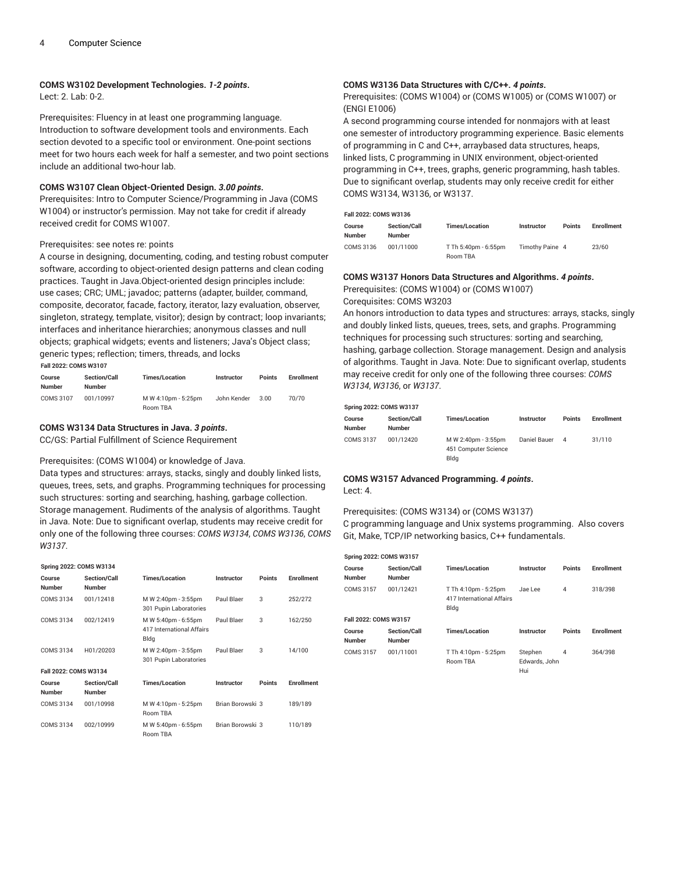#### **COMS W3102 Development Technologies.** *1-2 points***.**

Lect: 2. Lab: 0-2.

Prerequisites: Fluency in at least one programming language. Introduction to software development tools and environments. Each section devoted to a specific tool or environment. One-point sections meet for two hours each week for half a semester, and two point sections include an additional two-hour lab.

#### **COMS W3107 Clean Object-Oriented Design.** *3.00 points***.**

Prerequisites: Intro to Computer Science/Programming in Java (COMS W1004) or instructor's permission. May not take for credit if already received credit for COMS W1007.

#### Prerequisites: see notes re: points

A course in designing, documenting, coding, and testing robust computer software, according to object-oriented design patterns and clean coding practices. Taught in Java.Object-oriented design principles include: use cases; CRC; UML; javadoc; patterns (adapter, builder, command, composite, decorator, facade, factory, iterator, lazy evaluation, observer, singleton, strategy, template, visitor); design by contract; loop invariants; interfaces and inheritance hierarchies; anonymous classes and null objects; graphical widgets; events and listeners; Java's Object class; generic types; reflection; timers, threads, and locks **Fall 2022: COMS W3107**

| Course<br><b>Number</b> | <b>Section/Call</b><br>Number | <b>Times/Location</b>           | <b>Instructor</b> | <b>Points</b> | <b>Enrollment</b> |
|-------------------------|-------------------------------|---------------------------------|-------------------|---------------|-------------------|
| COMS 3107               | 001/10997                     | M W 4:10pm - 5:25pm<br>Room TBA | John Kender       | 3.00          | 70/70             |

#### **COMS W3134 Data Structures in Java.** *3 points***.**

CC/GS: Partial Fulfillment of Science Requirement

#### Prerequisites: (COMS W1004) or knowledge of Java.

Data types and structures: arrays, stacks, singly and doubly linked lists, queues, trees, sets, and graphs. Programming techniques for processing such structures: sorting and searching, hashing, garbage collection. Storage management. Rudiments of the analysis of algorithms. Taught in Java. Note: Due to significant overlap, students may receive credit for only one of the following three courses: *COMS W3134*, *COMS W3136*, *COMS W3137*.

#### **Spring 2022: COMS W3134**

| Course<br><b>Number</b> | <b>Section/Call</b><br>Number | <b>Times/Location</b>                                    | Instructor       | <b>Points</b> | <b>Enrollment</b> |
|-------------------------|-------------------------------|----------------------------------------------------------|------------------|---------------|-------------------|
| COMS 3134               | 001/12418                     | M W 2:40pm - 3:55pm<br>301 Pupin Laboratories            | Paul Blaer       | 3             | 252/272           |
| COMS 3134               | 002/12419                     | M W 5:40pm - 6:55pm<br>417 International Affairs<br>Bldg | Paul Blaer       | 3             | 162/250           |
| COMS 3134               | H01/20203                     | M W 2:40pm - 3:55pm<br>301 Pupin Laboratories            | Paul Blaer       | 3             | 14/100            |
| Fall 2022: COMS W3134   |                               |                                                          |                  |               |                   |
| Course<br><b>Number</b> | <b>Section/Call</b><br>Number | <b>Times/Location</b>                                    | Instructor       | <b>Points</b> | <b>Enrollment</b> |
| COMS 3134               | 001/10998                     | M W 4:10pm - 5:25pm<br><b>Room TBA</b>                   | Brian Borowski 3 |               | 189/189           |
| COMS 3134               | 002/10999                     | M W 5:40pm - 6:55pm<br>Room TBA                          | Brian Borowski 3 |               | 110/189           |

#### **COMS W3136 Data Structures with C/C++.** *4 points***.**

Prerequisites: (COMS W1004) or (COMS W1005) or (COMS W1007) or (ENGI E1006)

A second programming course intended for nonmajors with at least one semester of introductory programming experience. Basic elements of programming in C and C++, arraybased data structures, heaps, linked lists, C programming in UNIX environment, object-oriented programming in C++, trees, graphs, generic programming, hash tables. Due to significant overlap, students may only receive credit for either COMS W3134, W3136, or W3137.

#### **Fall 2022: COMS W3136**

| Course<br><b>Number</b> | <b>Section/Call</b><br><b>Number</b> | <b>Times/Location</b>            | Instructor      | <b>Points</b> | <b>Enrollment</b> |
|-------------------------|--------------------------------------|----------------------------------|-----------------|---------------|-------------------|
| COMS 3136               | 001/11000                            | T Th 5:40pm - 6:55pm<br>Room TBA | Timothy Paine 4 |               | 23/60             |

#### **COMS W3137 Honors Data Structures and Algorithms.** *4 points***.**

Prerequisites: (COMS W1004) or (COMS W1007) Corequisites: COMS W3203

An honors introduction to data types and structures: arrays, stacks, singly and doubly linked lists, queues, trees, sets, and graphs. Programming techniques for processing such structures: sorting and searching, hashing, garbage collection. Storage management. Design and analysis of algorithms. Taught in Java. Note: Due to significant overlap, students may receive credit for only one of the following three courses: *COMS W3134*, *W3136*, or *W3137*.

#### **Spring 2022: COMS W3137**

| Course<br><b>Number</b> | <b>Section/Call</b><br><b>Number</b> | <b>Times/Location</b>                               | Instructor   | <b>Points</b> | <b>Enrollment</b> |
|-------------------------|--------------------------------------|-----------------------------------------------------|--------------|---------------|-------------------|
| COMS 3137               | 001/12420                            | M W 2:40pm - 3:55pm<br>451 Computer Science<br>Blda | Daniel Bauer | 4             | 31/110            |

#### **COMS W3157 Advanced Programming.** *4 points***.** Lect: 4.

#### Prerequisites: (COMS W3134) or (COMS W3137)

C programming language and Unix systems programming. Also covers Git, Make, TCP/IP networking basics, C++ fundamentals.

| Spring 2022: COMS W3157 |                                      |                                                           |                                 |               |                   |
|-------------------------|--------------------------------------|-----------------------------------------------------------|---------------------------------|---------------|-------------------|
| Course<br><b>Number</b> | <b>Section/Call</b><br><b>Number</b> | <b>Times/Location</b>                                     | Instructor                      | <b>Points</b> | <b>Enrollment</b> |
| COMS 3157               | 001/12421                            | T Th 4:10pm - 5:25pm<br>417 International Affairs<br>Bldg | Jae Lee                         | 4             | 318/398           |
| Fall 2022: COMS W3157   |                                      |                                                           |                                 |               |                   |
| Course<br><b>Number</b> | Section/Call<br><b>Number</b>        | <b>Times/Location</b>                                     | Instructor                      | Points        | <b>Enrollment</b> |
| COMS 3157               | 001/11001                            | T Th 4:10pm - 5:25pm<br>Room TBA                          | Stephen<br>Edwards, John<br>Hui | 4             | 364/398           |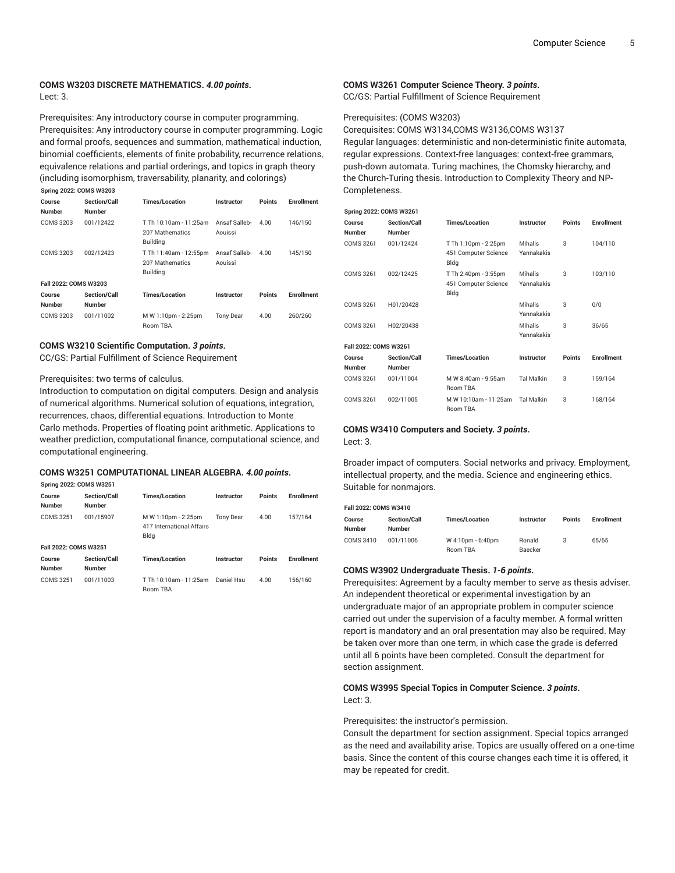#### **COMS W3203 DISCRETE MATHEMATICS.** *4.00 points***.** Lect: 3.

Prerequisites: Any introductory course in computer programming. Prerequisites: Any introductory course in computer programming. Logic and formal proofs, sequences and summation, mathematical induction, binomial coefficients, elements of finite probability, recurrence relations, equivalence relations and partial orderings, and topics in graph theory (including isomorphism, traversability, planarity, and colorings) **Spring 2022: COMS W3203**

| Course<br><b>Number</b> | <b>Section/Call</b><br>Number | <b>Times/Location</b>                                        | Instructor               | <b>Points</b> | <b>Enrollment</b> |
|-------------------------|-------------------------------|--------------------------------------------------------------|--------------------------|---------------|-------------------|
| COMS 3203               | 001/12422                     | T Th 10:10am - 11:25am<br>207 Mathematics<br><b>Building</b> | Ansaf Salleb-<br>Aouissi | 4.00          | 146/150           |
| <b>COMS 3203</b>        | 002/12423                     | T Th 11:40am - 12:55pm<br>207 Mathematics<br><b>Building</b> | Ansaf Salleb-<br>Aouissi | 4.00          | 145/150           |
| Fall 2022: COMS W3203   |                               |                                                              |                          |               |                   |
| Course<br><b>Number</b> | Section/Call<br>Number        | <b>Times/Location</b>                                        | Instructor               | <b>Points</b> | <b>Enrollment</b> |
| <b>COMS 3203</b>        | 001/11002                     | M W 1:10pm - 2:25pm<br>Room TBA                              | <b>Tony Dear</b>         | 4.00          | 260/260           |

#### **COMS W3210 Scientific Computation.** *3 points***.**

CC/GS: Partial Fulfillment of Science Requirement

#### Prerequisites: two terms of calculus.

Introduction to computation on digital computers. Design and analysis of numerical algorithms. Numerical solution of equations, integration, recurrences, chaos, differential equations. Introduction to Monte Carlo methods. Properties of floating point arithmetic. Applications to weather prediction, computational finance, computational science, and computational engineering.

#### **COMS W3251 COMPUTATIONAL LINEAR ALGEBRA.** *4.00 points***.**

#### **Spring 2022: COMS W3251**

| Course<br><b>Number</b> | <b>Section/Call</b><br><b>Number</b> | <b>Times/Location</b>                                    | <b>Instructor</b> | <b>Points</b> | <b>Enrollment</b> |
|-------------------------|--------------------------------------|----------------------------------------------------------|-------------------|---------------|-------------------|
| COMS 3251               | 001/15907                            | M W 1:10pm - 2:25pm<br>417 International Affairs<br>Bldg | <b>Tony Dear</b>  | 4.00          | 157/164           |
| Fall 2022: COMS W3251   |                                      |                                                          |                   |               |                   |
| Course<br><b>Number</b> | <b>Section/Call</b><br><b>Number</b> | <b>Times/Location</b>                                    | Instructor        | <b>Points</b> | <b>Enrollment</b> |
| <b>COMS 3251</b>        | 001/11003                            | T Th 10:10am - 11:25am<br>Room TBA                       | Daniel Hsu        | 4.00          | 156/160           |

#### **COMS W3261 Computer Science Theory.** *3 points***.** CC/GS: Partial Fulfillment of Science Requirement

#### Prerequisites: (COMS W3203)

Corequisites: COMS W3134,COMS W3136,COMS W3137 Regular languages: deterministic and non-deterministic finite automata, regular expressions. Context-free languages: context-free grammars, push-down automata. Turing machines, the Chomsky hierarchy, and the Church-Turing thesis. Introduction to Complexity Theory and NP-Completeness.

|                         | <b>Spring 2022: COMS W3261</b> |                                                      |                              |               |                   |  |  |  |  |  |
|-------------------------|--------------------------------|------------------------------------------------------|------------------------------|---------------|-------------------|--|--|--|--|--|
| Course<br><b>Number</b> | Section/Call<br><b>Number</b>  | <b>Times/Location</b>                                | Instructor                   | Points        | <b>Enrollment</b> |  |  |  |  |  |
| <b>COMS 3261</b>        | 001/12424                      | T Th 1:10pm - 2:25pm<br>451 Computer Science<br>Bldg | <b>Mihalis</b><br>Yannakakis | 3             | 104/110           |  |  |  |  |  |
| COMS 3261               | 002/12425                      | T Th 2:40pm - 3:55pm<br>451 Computer Science<br>Bldg | Mihalis<br>Yannakakis        | 3             | 103/110           |  |  |  |  |  |
| COMS 3261               | H01/20428                      |                                                      | Mihalis<br>Yannakakis        | 3             | 0/0               |  |  |  |  |  |
| COMS 3261               | H02/20438                      |                                                      | Mihalis<br>Yannakakis        | 3             | 36/65             |  |  |  |  |  |
|                         | Fall 2022: COMS W3261          |                                                      |                              |               |                   |  |  |  |  |  |
| Course<br><b>Number</b> | Section/Call<br><b>Number</b>  | <b>Times/Location</b>                                | Instructor                   | <b>Points</b> | <b>Enrollment</b> |  |  |  |  |  |
| COMS 3261               | 001/11004                      | M W 8:40am - 9:55am<br>Room TBA                      | <b>Tal Malkin</b>            | 3             | 159/164           |  |  |  |  |  |
| COMS 3261               | 002/11005                      | M W 10:10am - 11:25am<br>Room TBA                    | <b>Tal Malkin</b>            | 3             | 168/164           |  |  |  |  |  |

#### **COMS W3410 Computers and Society.** *3 points***.**

Lect: 3.

Broader impact of computers. Social networks and privacy. Employment, intellectual property, and the media. Science and engineering ethics. Suitable for nonmajors.

#### **Fall 2022: COMS W3410**

| , uil 2022. VOINU 11971V |                     |                       |            |               |                   |  |  |
|--------------------------|---------------------|-----------------------|------------|---------------|-------------------|--|--|
| Course                   | <b>Section/Call</b> | <b>Times/Location</b> | Instructor | <b>Points</b> | <b>Enrollment</b> |  |  |
| Number                   | <b>Number</b>       |                       |            |               |                   |  |  |
| COMS 3410                | 001/11006           | W 4:10pm - 6:40pm     | Ronald     |               | 65/65             |  |  |
|                          |                     | Room TBA              | Baecker    |               |                   |  |  |

#### **COMS W3902 Undergraduate Thesis.** *1-6 points***.**

Prerequisites: Agreement by a faculty member to serve as thesis adviser. An independent theoretical or experimental investigation by an undergraduate major of an appropriate problem in computer science carried out under the supervision of a faculty member. A formal written report is mandatory and an oral presentation may also be required. May be taken over more than one term, in which case the grade is deferred until all 6 points have been completed. Consult the department for section assignment.

#### **COMS W3995 Special Topics in Computer Science.** *3 points***.** Lect: 3.

Prerequisites: the instructor's permission.

Consult the department for section assignment. Special topics arranged as the need and availability arise. Topics are usually offered on a one-time basis. Since the content of this course changes each time it is offered, it may be repeated for credit.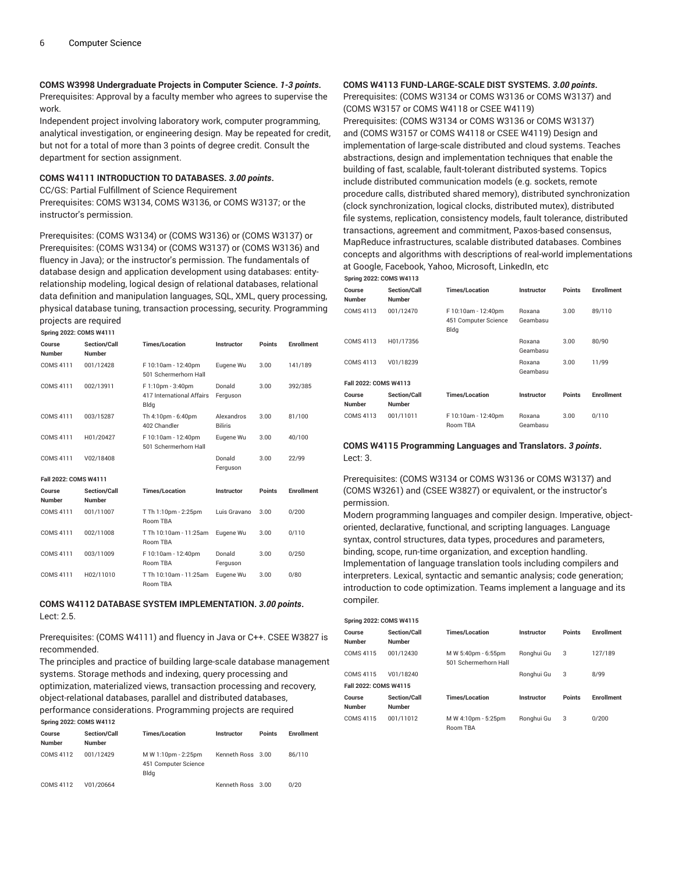**COMS W3998 Undergraduate Projects in Computer Science.** *1-3 points***.** Prerequisites: Approval by a faculty member who agrees to supervise the work.

Independent project involving laboratory work, computer programming, analytical investigation, or engineering design. May be repeated for credit, but not for a total of more than 3 points of degree credit. Consult the department for section assignment.

#### **COMS W4111 INTRODUCTION TO DATABASES.** *3.00 points***.**

CC/GS: Partial Fulfillment of Science Requirement Prerequisites: COMS W3134, COMS W3136, or COMS W3137; or the instructor's permission.

Prerequisites: (COMS W3134) or (COMS W3136) or (COMS W3137) or Prerequisites: (COMS W3134) or (COMS W3137) or (COMS W3136) and fluency in Java); or the instructor's permission. The fundamentals of database design and application development using databases: entityrelationship modeling, logical design of relational databases, relational data definition and manipulation languages, SQL, XML, query processing, physical database tuning, transaction processing, security. Programming projects are required

**Spring 2022: COMS W4111**

|                         | JUING LULL UUMJ 1171 I I             |                                                        |                              |        |                   |  |  |  |  |
|-------------------------|--------------------------------------|--------------------------------------------------------|------------------------------|--------|-------------------|--|--|--|--|
| Course<br><b>Number</b> | Section/Call<br><b>Number</b>        | <b>Times/Location</b>                                  | <b>Instructor</b>            | Points | <b>Enrollment</b> |  |  |  |  |
| <b>COMS 4111</b>        | 001/12428                            | F 10:10am - 12:40pm<br>501 Schermerhorn Hall           | Eugene Wu                    | 3.00   | 141/189           |  |  |  |  |
| <b>COMS 4111</b>        | 002/13911                            | F 1:10pm - 3:40pm<br>417 International Affairs<br>Bldg | Donald<br>Ferguson           | 3.00   | 392/385           |  |  |  |  |
| <b>COMS 4111</b>        | 003/15287                            | Th 4:10pm - 6:40pm<br>402 Chandler                     | Alexandros<br><b>Biliris</b> | 3.00   | 81/100            |  |  |  |  |
| <b>COMS 4111</b>        | H01/20427                            | F 10:10am - 12:40pm<br>501 Schermerhorn Hall           | Eugene Wu                    | 3.00   | 40/100            |  |  |  |  |
| COMS 4111               | V02/18408                            |                                                        | Donald<br>Ferguson           | 3.00   | 22/99             |  |  |  |  |
| Fall 2022: COMS W4111   |                                      |                                                        |                              |        |                   |  |  |  |  |
| Course<br><b>Number</b> | <b>Section/Call</b><br><b>Number</b> | <b>Times/Location</b>                                  | Instructor                   | Points | <b>Enrollment</b> |  |  |  |  |
| <b>COMS 4111</b>        | 001/11007                            | T Th 1:10pm - 2:25pm<br><b>Room TRA</b>                | Luis Gravano                 | 3.00   | 0/200             |  |  |  |  |
| <b>COMS 4111</b>        | 002/11008                            | T Th 10:10am - 11:25am<br><b>Room TBA</b>              | Eugene Wu                    | 3.00   | 0/110             |  |  |  |  |
| COMS 4111               | 003/11009                            | F 10:10am - 12:40pm<br>Room TBA                        | Donald<br>Ferguson           | 3.00   | 0/250             |  |  |  |  |
| <b>COMS 4111</b>        | H02/11010                            | T Th 10:10am - 11:25am<br>Room TBA                     | Eugene Wu                    | 3.00   | 0/80              |  |  |  |  |
|                         |                                      |                                                        |                              |        |                   |  |  |  |  |

### **COMS W4112 DATABASE SYSTEM IMPLEMENTATION.** *3.00 points***.** Lect: 2.5.

Prerequisites: (COMS W4111) and fluency in Java or C++. CSEE W3827 is recommended.

The principles and practice of building large-scale database management systems. Storage methods and indexing, query processing and optimization, materialized views, transaction processing and recovery, object-relational databases, parallel and distributed databases, performance considerations. Programming projects are required **Spring 2022: COMS W4112**

| Course<br>Number | <b>Section/Call</b><br><b>Number</b> | <b>Times/Location</b>                               | Instructor        | <b>Points</b> | Enrollment |
|------------------|--------------------------------------|-----------------------------------------------------|-------------------|---------------|------------|
| COMS 4112        | 001/12429                            | M W 1:10pm - 2:25pm<br>451 Computer Science<br>Bldg | Kenneth Ross 3.00 |               | 86/110     |
| COMS 4112        | V01/20664                            |                                                     | Kenneth Ross 3.00 |               | 0/20       |

#### **COMS W4113 FUND-LARGE-SCALE DIST SYSTEMS.** *3.00 points***.**

Prerequisites: (COMS W3134 or COMS W3136 or COMS W3137) and (COMS W3157 or COMS W4118 or CSEE W4119) Prerequisites: (COMS W3134 or COMS W3136 or COMS W3137) and (COMS W3157 or COMS W4118 or CSEE W4119) Design and implementation of large-scale distributed and cloud systems. Teaches abstractions, design and implementation techniques that enable the building of fast, scalable, fault-tolerant distributed systems. Topics include distributed communication models (e.g. sockets, remote procedure calls, distributed shared memory), distributed synchronization (clock synchronization, logical clocks, distributed mutex), distributed file systems, replication, consistency models, fault tolerance, distributed transactions, agreement and commitment, Paxos-based consensus, MapReduce infrastructures, scalable distributed databases. Combines concepts and algorithms with descriptions of real-world implementations at Google, Facebook, Yahoo, Microsoft, LinkedIn, etc

#### **Spring 2022: COMS W4113 Course Number Section/Call Number Times/Location Instructor Points Enrollment** COMS 4113 001/12470 F 10:10am - 12:40pm 451 Computer Science Bldg Roxana Geambasu 3.00 89/110 COMS 4113 H01/17356 Roxana Geambasu 3.00 80/90 COMS 4113 V01/18239 Roxana Geambasu 3.00 11/99 **Fall 2022: COMS W4113 Course Number Section/Call Number Times/Location Instructor Points Enrollment** COMS 4113 001/11011 F 10:10am - 12:40pm Room TBA Roxana Geambasu 3.00 0/110

#### **COMS W4115 Programming Languages and Translators.** *3 points***.** Lect: 3.

Prerequisites: (COMS W3134 or COMS W3136 or COMS W3137) and (COMS W3261) and (CSEE W3827) or equivalent, or the instructor's permission.

Modern programming languages and compiler design. Imperative, objectoriented, declarative, functional, and scripting languages. Language syntax, control structures, data types, procedures and parameters, binding, scope, run-time organization, and exception handling. Implementation of language translation tools including compilers and interpreters. Lexical, syntactic and semantic analysis; code generation; introduction to code optimization. Teams implement a language and its compiler.

| <b>Spring 2022: COMS W4115</b>       |                                              |            |               |                   |  |  |  |  |  |
|--------------------------------------|----------------------------------------------|------------|---------------|-------------------|--|--|--|--|--|
| <b>Section/Call</b><br><b>Number</b> | <b>Times/Location</b>                        | Instructor | <b>Points</b> | <b>Enrollment</b> |  |  |  |  |  |
| 001/12430                            | M W 5:40pm - 6:55pm<br>501 Schermerhorn Hall | Ronahui Gu | 3             | 127/189           |  |  |  |  |  |
| V01/18240                            |                                              | Ronghui Gu | 3             | 8/99              |  |  |  |  |  |
| Fall 2022: COMS W4115                |                                              |            |               |                   |  |  |  |  |  |
| Section/Call<br><b>Number</b>        | <b>Times/Location</b>                        | Instructor | <b>Points</b> | <b>Enrollment</b> |  |  |  |  |  |
| 001/11012                            | M W 4:10pm - 5:25pm<br>Room TBA              | Ronghui Gu | 3             | 0/200             |  |  |  |  |  |
|                                      |                                              |            |               |                   |  |  |  |  |  |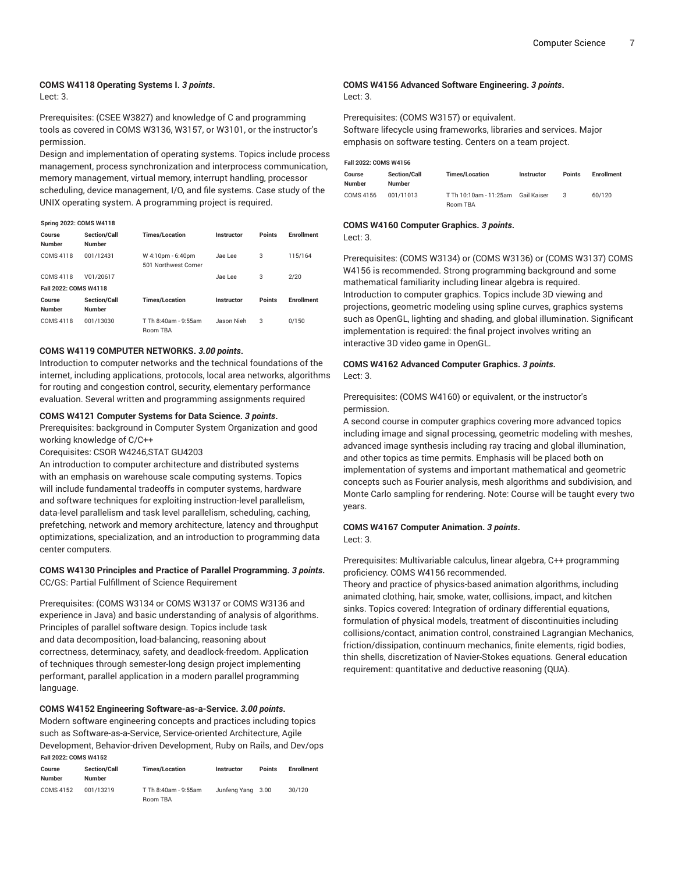# **COMS W4118 Operating Systems I.** *3 points***.**

Lect: 3.

Prerequisites: (CSEE W3827) and knowledge of C and programming tools as covered in COMS W3136, W3157, or W3101, or the instructor's permission.

Design and implementation of operating systems. Topics include process management, process synchronization and interprocess communication, memory management, virtual memory, interrupt handling, processor scheduling, device management, I/O, and file systems. Case study of the UNIX operating system. A programming project is required.

#### **Spring 2022: COMS W4118**

| Course<br><b>Number</b> | Section/Call<br><b>Number</b>        | <b>Times/Location</b>                     | Instructor | <b>Points</b> | <b>Enrollment</b> |
|-------------------------|--------------------------------------|-------------------------------------------|------------|---------------|-------------------|
| <b>COMS 4118</b>        | 001/12431                            | W 4:10pm - 6:40pm<br>501 Northwest Corner | Jae Lee    | 3             | 115/164           |
| <b>COMS 4118</b>        | V01/20617                            |                                           | Jae Lee    | 3             | 2/20              |
| Fall 2022: COMS W4118   |                                      |                                           |            |               |                   |
| Course<br><b>Number</b> | <b>Section/Call</b><br><b>Number</b> | <b>Times/Location</b>                     | Instructor | <b>Points</b> | <b>Enrollment</b> |
| <b>COMS 4118</b>        | 001/13030                            | T Th 8:40am - 9:55am<br><b>Room TBA</b>   | Jason Nieh | 3             | 0/150             |

#### **COMS W4119 COMPUTER NETWORKS.** *3.00 points***.**

Introduction to computer networks and the technical foundations of the internet, including applications, protocols, local area networks, algorithms for routing and congestion control, security, elementary performance evaluation. Several written and programming assignments required

#### **COMS W4121 Computer Systems for Data Science.** *3 points***.**

Prerequisites: background in Computer System Organization and good working knowledge of C/C++

Corequisites: CSOR W4246,STAT GU4203

An introduction to computer architecture and distributed systems with an emphasis on warehouse scale computing systems. Topics will include fundamental tradeoffs in computer systems, hardware and software techniques for exploiting instruction-level parallelism, data-level parallelism and task level parallelism, scheduling, caching, prefetching, network and memory architecture, latency and throughput optimizations, specialization, and an introduction to programming data center computers.

#### **COMS W4130 Principles and Practice of Parallel Programming.** *3 points***.** CC/GS: Partial Fulfillment of Science Requirement

Prerequisites: (COMS W3134 or COMS W3137 or COMS W3136 and experience in Java) and basic understanding of analysis of algorithms. Principles of parallel software design. Topics include task and data decomposition, load-balancing, reasoning about correctness, determinacy, safety, and deadlock-freedom. Application of techniques through semester-long design project implementing performant, parallel application in a modern parallel programming language.

#### **COMS W4152 Engineering Software-as-a-Service.** *3.00 points***.**

Modern software engineering concepts and practices including topics such as Software-as-a-Service, Service-oriented Architecture, Agile Development, Behavior-driven Development, Ruby on Rails, and Dev/ops **Fall 2022: COMS W4152**

| Course<br><b>Number</b> | <b>Section/Call</b><br><b>Number</b> | <b>Times/Location</b>            | <b>Instructor</b> | <b>Points</b> | <b>Enrollment</b> |
|-------------------------|--------------------------------------|----------------------------------|-------------------|---------------|-------------------|
| COMS 4152               | 001/13219                            | T Th 8:40am - 9:55am<br>Room TBA | Junfeng Yang 3.00 |               | 30/120            |

#### **COMS W4156 Advanced Software Engineering.** *3 points***.** Lect: 3.

Prerequisites: (COMS W3157) or equivalent. Software lifecycle using frameworks, libraries and services. Major emphasis on software testing. Centers on a team project.

**Fall 2022: COMS W4156**

| Course<br><b>Number</b> | <b>Section/Call</b><br><b>Number</b> | <b>Times/Location</b>  | <b>Instructor</b> | <b>Points</b> | Enrollment |
|-------------------------|--------------------------------------|------------------------|-------------------|---------------|------------|
| COMS 4156               | 001/11013                            | T Th 10:10am - 11:25am | Gail Kaiser       | з             | 60/120     |
|                         |                                      | Room TBA               |                   |               |            |

#### **COMS W4160 Computer Graphics.** *3 points***.**

Lect: 3.

Prerequisites: (COMS W3134) or (COMS W3136) or (COMS W3137) COMS W4156 is recommended. Strong programming background and some mathematical familiarity including linear algebra is required. Introduction to computer graphics. Topics include 3D viewing and projections, geometric modeling using spline curves, graphics systems such as OpenGL, lighting and shading, and global illumination. Significant implementation is required: the final project involves writing an interactive 3D video game in OpenGL.

#### **COMS W4162 Advanced Computer Graphics.** *3 points***.** Lect: 3.

Prerequisites: (COMS W4160) or equivalent, or the instructor's permission.

A second course in computer graphics covering more advanced topics including image and signal processing, geometric modeling with meshes, advanced image synthesis including ray tracing and global illumination, and other topics as time permits. Emphasis will be placed both on implementation of systems and important mathematical and geometric concepts such as Fourier analysis, mesh algorithms and subdivision, and Monte Carlo sampling for rendering. Note: Course will be taught every two years.

#### **COMS W4167 Computer Animation.** *3 points***.** Lect: 3.

#### Prerequisites: Multivariable calculus, linear algebra, C++ programming proficiency. COMS W4156 recommended.

Theory and practice of physics-based animation algorithms, including animated clothing, hair, smoke, water, collisions, impact, and kitchen sinks. Topics covered: Integration of ordinary differential equations, formulation of physical models, treatment of discontinuities including collisions/contact, animation control, constrained Lagrangian Mechanics, friction/dissipation, continuum mechanics, finite elements, rigid bodies, thin shells, discretization of Navier-Stokes equations. General education requirement: quantitative and deductive reasoning (QUA).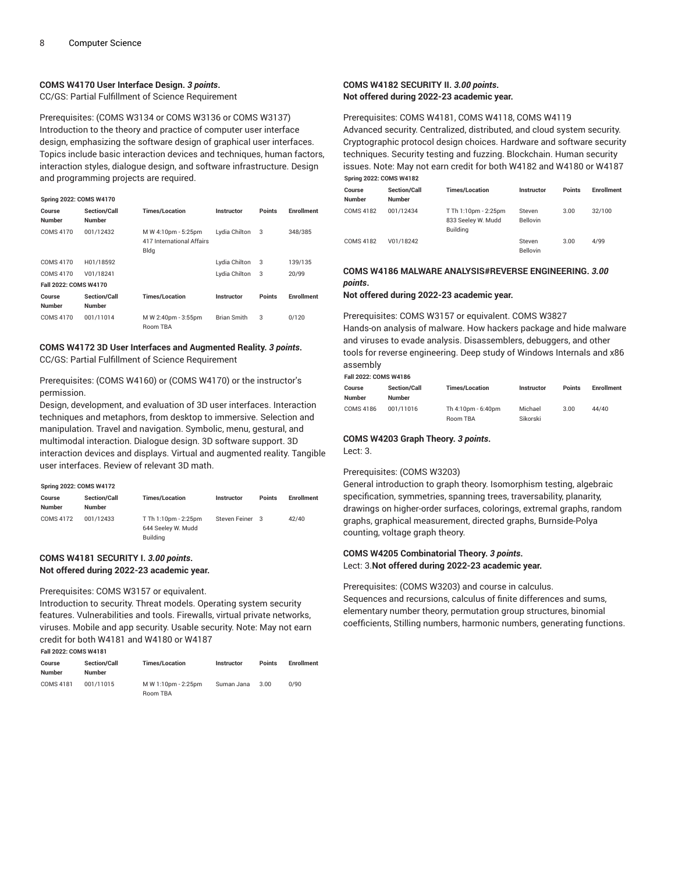#### **COMS W4170 User Interface Design.** *3 points***.**

CC/GS: Partial Fulfillment of Science Requirement

Prerequisites: (COMS W3134 or COMS W3136 or COMS W3137) Introduction to the theory and practice of computer user interface design, emphasizing the software design of graphical user interfaces. Topics include basic interaction devices and techniques, human factors, interaction styles, dialogue design, and software infrastructure. Design and programming projects are required.

#### **Spring 2022: COMS W4170**

| Course<br><b>Number</b> | <b>Section/Call</b><br><b>Number</b> | <b>Times/Location</b>                                    | <b>Instructor</b>  | <b>Points</b> | <b>Enrollment</b> |
|-------------------------|--------------------------------------|----------------------------------------------------------|--------------------|---------------|-------------------|
| <b>COMS 4170</b>        | 001/12432                            | M W 4:10pm - 5:25pm<br>417 International Affairs<br>Bldg | Lydia Chilton      | 3             | 348/385           |
| <b>COMS 4170</b>        | H01/18592                            |                                                          | Lydia Chilton      | 3             | 139/135           |
| COMS 4170               | V01/18241                            |                                                          | Lydia Chilton      | 3             | 20/99             |
| Fall 2022: COMS W4170   |                                      |                                                          |                    |               |                   |
| Course<br><b>Number</b> | <b>Section/Call</b><br><b>Number</b> | <b>Times/Location</b>                                    | <b>Instructor</b>  | <b>Points</b> | <b>Enrollment</b> |
| <b>COMS 4170</b>        | 001/11014                            | M W 2:40pm - 3:55pm<br>Room TBA                          | <b>Brian Smith</b> | 3             | 0/120             |

#### **COMS W4172 3D User Interfaces and Augmented Reality.** *3 points***.** CC/GS: Partial Fulfillment of Science Requirement

Prerequisites: (COMS W4160) or (COMS W4170) or the instructor's permission.

Design, development, and evaluation of 3D user interfaces. Interaction techniques and metaphors, from desktop to immersive. Selection and manipulation. Travel and navigation. Symbolic, menu, gestural, and multimodal interaction. Dialogue design. 3D software support. 3D interaction devices and displays. Virtual and augmented reality. Tangible user interfaces. Review of relevant 3D math.

| <b>Spring 2022: COMS W4172</b> |                                      |                                                        |                   |        |                   |  |  |
|--------------------------------|--------------------------------------|--------------------------------------------------------|-------------------|--------|-------------------|--|--|
| Course<br>Number               | <b>Section/Call</b><br><b>Number</b> | <b>Times/Location</b>                                  | <b>Instructor</b> | Points | <b>Enrollment</b> |  |  |
| COMS 4172                      | 001/12433                            | T Th 1:10pm - 2:25pm<br>644 Seelev W. Mudd<br>Building | Steven Feiner 3   |        | 42/40             |  |  |

#### **COMS W4181 SECURITY I.** *3.00 points***. Not offered during 2022-23 academic year.**

Prerequisites: COMS W3157 or equivalent.

Introduction to security. Threat models. Operating system security features. Vulnerabilities and tools. Firewalls, virtual private networks, viruses. Mobile and app security. Usable security. Note: May not earn credit for both W4181 and W4180 or W4187 **Fall 2022: COMS W4181**

| Course<br>Number | <b>Section/Call</b><br><b>Number</b> | <b>Times/Location</b>           | <b>Instructor</b> | <b>Points</b> | <b>Enrollment</b> |
|------------------|--------------------------------------|---------------------------------|-------------------|---------------|-------------------|
| COMS 4181        | 001/11015                            | M W 1:10pm - 2:25pm<br>Room TBA | Suman Jana        | 3.00          | 0/90              |

#### **COMS W4182 SECURITY II.** *3.00 points***. Not offered during 2022-23 academic year.**

#### Prerequisites: COMS W4181, COMS W4118, COMS W4119

Advanced security. Centralized, distributed, and cloud system security. Cryptographic protocol design choices. Hardware and software security techniques. Security testing and fuzzing. Blockchain. Human security issues. Note: May not earn credit for both W4182 and W4180 or W4187 **Spring 2022: COMS W4182**

| Course<br><b>Number</b> | <b>Section/Call</b><br><b>Number</b> | <b>Times/Location</b>                                  | Instructor                | <b>Points</b> | <b>Enrollment</b> |
|-------------------------|--------------------------------------|--------------------------------------------------------|---------------------------|---------------|-------------------|
| COMS 4182               | 001/12434                            | T Th 1:10pm - 2:25pm<br>833 Seelev W. Mudd<br>Building | Steven<br><b>Bellovin</b> | 3.00          | 32/100            |
| COMS 4182               | V01/18242                            |                                                        | Steven<br><b>Bellovin</b> | 3.00          | 4/99              |

#### **COMS W4186 MALWARE ANALYSIS#REVERSE ENGINEERING.** *3.00 points***.**

**Not offered during 2022-23 academic year.**

#### Prerequisites: COMS W3157 or equivalent. COMS W3827

Hands-on analysis of malware. How hackers package and hide malware and viruses to evade analysis. Disassemblers, debuggers, and other tools for reverse engineering. Deep study of Windows Internals and x86 assembly

#### **Fall 2022: COMS W4186**

| Course<br>Number | <b>Section/Call</b><br><b>Number</b> | <b>Times/Location</b> | Instructor | <b>Points</b> | <b>Enrollment</b> |
|------------------|--------------------------------------|-----------------------|------------|---------------|-------------------|
| COMS 4186        | 001/11016                            | Th 4:10pm - 6:40pm    | Michael    | 3.00          | 44/40             |
|                  |                                      | Room TBA              | Sikorski   |               |                   |

# **COMS W4203 Graph Theory.** *3 points***.**

Lect: 3.

#### Prerequisites: (COMS W3203)

General introduction to graph theory. Isomorphism testing, algebraic specification, symmetries, spanning trees, traversability, planarity, drawings on higher-order surfaces, colorings, extremal graphs, random graphs, graphical measurement, directed graphs, Burnside-Polya counting, voltage graph theory.

#### **COMS W4205 Combinatorial Theory.** *3 points***.** Lect: 3.**Not offered during 2022-23 academic year.**

Prerequisites: (COMS W3203) and course in calculus. Sequences and recursions, calculus of finite differences and sums, elementary number theory, permutation group structures, binomial coefficients, Stilling numbers, harmonic numbers, generating functions.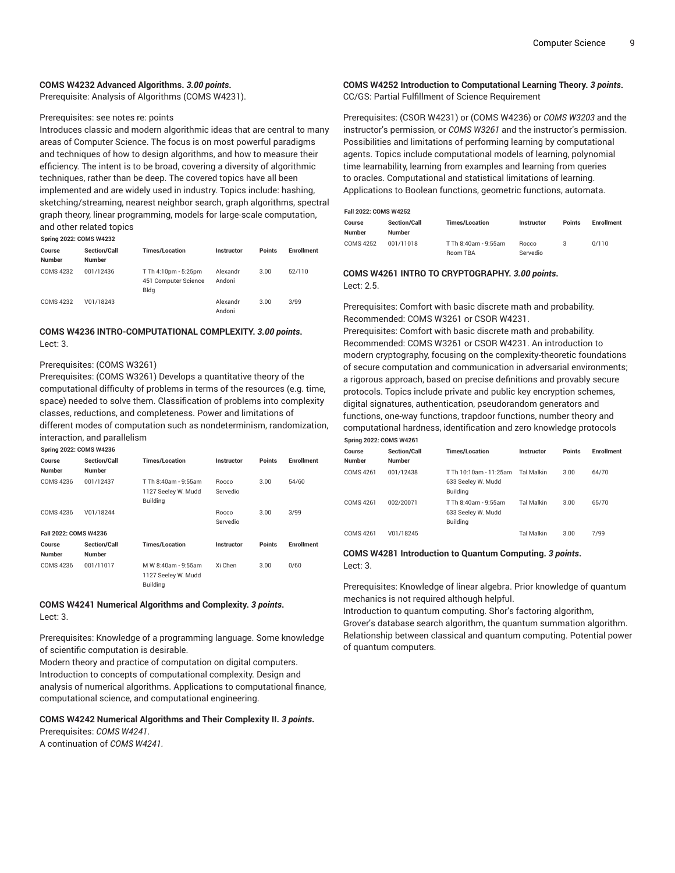#### **COMS W4232 Advanced Algorithms.** *3.00 points***.**

Prerequisite: Analysis of Algorithms (COMS W4231).

#### Prerequisites: see notes re: points

Introduces classic and modern algorithmic ideas that are central to many areas of Computer Science. The focus is on most powerful paradigms and techniques of how to design algorithms, and how to measure their efficiency. The intent is to be broad, covering a diversity of algorithmic techniques, rather than be deep. The covered topics have all been implemented and are widely used in industry. Topics include: hashing, sketching/streaming, nearest neighbor search, graph algorithms, spectral graph theory, linear programming, models for large-scale computation, and other related topics

**Spring 2022: COMS W4232**

| Course<br><b>Number</b> | <b>Section/Call</b><br><b>Number</b> | <b>Times/Location</b>                                | Instructor         | <b>Points</b> | Enrollment |
|-------------------------|--------------------------------------|------------------------------------------------------|--------------------|---------------|------------|
| COMS 4232               | 001/12436                            | T Th 4:10pm - 5:25pm<br>451 Computer Science<br>Bldg | Alexandr<br>Andoni | 3.00          | 52/110     |
| <b>COMS 4232</b>        | V01/18243                            |                                                      | Alexandr<br>Andoni | 3.00          | 3/99       |

#### **COMS W4236 INTRO-COMPUTATIONAL COMPLEXITY.** *3.00 points***.** Lect: 3.

#### Prerequisites: (COMS W3261)

Prerequisites: (COMS W3261) Develops a quantitative theory of the computational difficulty of problems in terms of the resources (e.g. time, space) needed to solve them. Classification of problems into complexity classes, reductions, and completeness. Power and limitations of different modes of computation such as nondeterminism, randomization, interaction, and parallelism

#### **Spring 2022: COMS W4236**

|                         | <b>Opting ZUZZ. CONG NTZJU</b>       |                                                               |                          |               |                   |  |  |  |
|-------------------------|--------------------------------------|---------------------------------------------------------------|--------------------------|---------------|-------------------|--|--|--|
| Course<br><b>Number</b> | Section/Call<br><b>Number</b>        | <b>Times/Location</b>                                         | Instructor               | <b>Points</b> | <b>Enrollment</b> |  |  |  |
| <b>COMS 4236</b>        | 001/12437                            | T Th 8:40am - 9:55am<br>1127 Seeley W. Mudd<br>Building       | <b>Rocco</b><br>Servedio | 3.00          | 54/60             |  |  |  |
| COMS 4236               | V01/18244                            |                                                               | <b>Rocco</b><br>Servedio | 3.00          | 3/99              |  |  |  |
| Fall 2022: COMS W4236   |                                      |                                                               |                          |               |                   |  |  |  |
| Course<br><b>Number</b> | <b>Section/Call</b><br><b>Number</b> | <b>Times/Location</b>                                         | Instructor               | <b>Points</b> | <b>Enrollment</b> |  |  |  |
| <b>COMS 4236</b>        | 001/11017                            | M W 8:40am - 9:55am<br>1127 Seeley W. Mudd<br><b>Building</b> | Xi Chen                  | 3.00          | 0/60              |  |  |  |

#### **COMS W4241 Numerical Algorithms and Complexity.** *3 points***.** Lect: 3.

Prerequisites: Knowledge of a programming language. Some knowledge of scientific computation is desirable.

Modern theory and practice of computation on digital computers. Introduction to concepts of computational complexity. Design and analysis of numerical algorithms. Applications to computational finance, computational science, and computational engineering.

#### **COMS W4242 Numerical Algorithms and Their Complexity II.** *3 points***.**

Prerequisites: *COMS W4241*.

A continuation of *COMS W4241.*

#### **COMS W4252 Introduction to Computational Learning Theory.** *3 points***.** CC/GS: Partial Fulfillment of Science Requirement

Prerequisites: (CSOR W4231) or (COMS W4236) or *COMS W3203* and the instructor's permission, or *COMS W3261* and the instructor's permission. Possibilities and limitations of performing learning by computational agents. Topics include computational models of learning, polynomial time learnability, learning from examples and learning from queries to oracles. Computational and statistical limitations of learning. Applications to Boolean functions, geometric functions, automata.

#### **Fall 2022: COMS W4252**

| Course<br>Number | <b>Section/Call</b><br><b>Number</b> | <b>Times/Location</b> | <b>Instructor</b> | <b>Points</b> | <b>Enrollment</b> |
|------------------|--------------------------------------|-----------------------|-------------------|---------------|-------------------|
| <b>COMS 4252</b> | 001/11018                            | T Th 8:40am - 9:55am  | <b>Rocco</b>      | 3             | 0/110             |
|                  |                                      | Room TBA              | Servedio          |               |                   |

#### **COMS W4261 INTRO TO CRYPTOGRAPHY.** *3.00 points***.** Lect: 2.5.

Prerequisites: Comfort with basic discrete math and probability. Recommended: COMS W3261 or CSOR W4231.

Prerequisites: Comfort with basic discrete math and probability. Recommended: COMS W3261 or CSOR W4231. An introduction to modern cryptography, focusing on the complexity-theoretic foundations of secure computation and communication in adversarial environments; a rigorous approach, based on precise definitions and provably secure protocols. Topics include private and public key encryption schemes, digital signatures, authentication, pseudorandom generators and functions, one-way functions, trapdoor functions, number theory and computational hardness, identification and zero knowledge protocols **Spring 2022: COMS W4261**

| Course<br><b>Number</b> | <b>Section/Call</b><br><b>Number</b> | <b>Times/Location</b>                                         | Instructor        | <b>Points</b> | Enrollment |
|-------------------------|--------------------------------------|---------------------------------------------------------------|-------------------|---------------|------------|
| COMS 4261               | 001/12438                            | T Th 10:10am - 11:25am<br>633 Seeley W. Mudd<br>Building      | <b>Tal Malkin</b> | 3.00          | 64/70      |
| COMS 4261               | 002/20071                            | T Th 8:40am - 9:55am<br>633 Seeley W. Mudd<br><b>Building</b> | <b>Tal Malkin</b> | 3.00          | 65/70      |
| COMS 4261               | V01/18245                            |                                                               | Tal Malkin        | 3.00          | 7/99       |

#### **COMS W4281 Introduction to Quantum Computing.** *3 points***.** Lect: 3.

Prerequisites: Knowledge of linear algebra. Prior knowledge of quantum mechanics is not required although helpful.

Introduction to quantum computing. Shor's factoring algorithm, Grover's database search algorithm, the quantum summation algorithm. Relationship between classical and quantum computing. Potential power of quantum computers.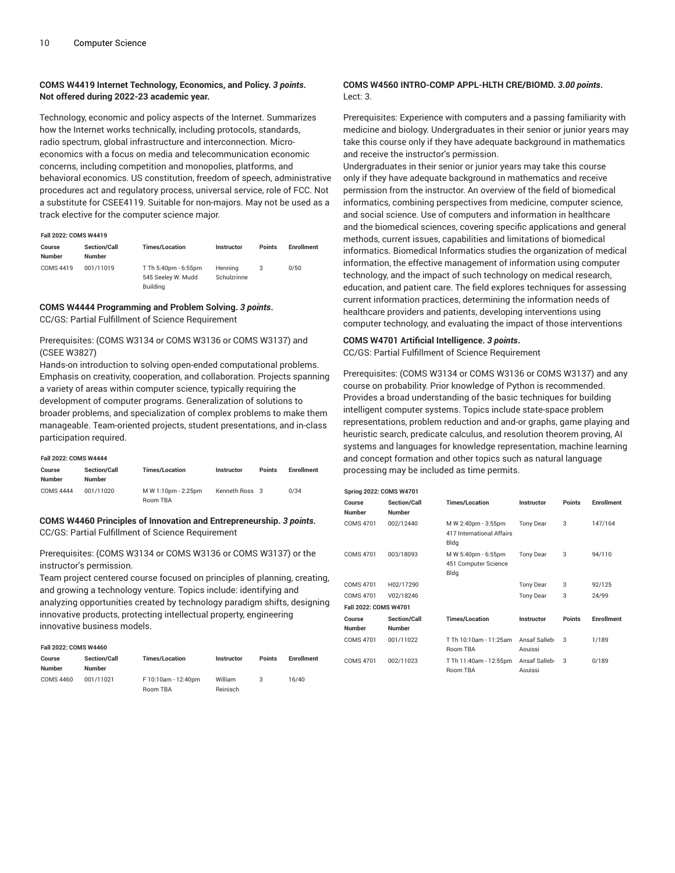#### **COMS W4419 Internet Technology, Economics, and Policy.** *3 points***. Not offered during 2022-23 academic year.**

Technology, economic and policy aspects of the Internet. Summarizes how the Internet works technically, including protocols, standards, radio spectrum, global infrastructure and interconnection. Microeconomics with a focus on media and telecommunication economic concerns, including competition and monopolies, platforms, and behavioral economics. US constitution, freedom of speech, administrative procedures act and regulatory process, universal service, role of FCC. Not a substitute for CSEE4119. Suitable for non-majors. May not be used as a track elective for the computer science major.

#### **Fall 2022: COMS W4419**

| Course<br><b>Number</b> | <b>Section/Call</b><br><b>Number</b> | <b>Times/Location</b>                                  | <b>Instructor</b>      | <b>Points</b> | <b>Enrollment</b> |
|-------------------------|--------------------------------------|--------------------------------------------------------|------------------------|---------------|-------------------|
| COMS 4419               | 001/11019                            | T Th 5:40pm - 6:55pm<br>545 Seelev W. Mudd<br>Building | Henning<br>Schulzrinne |               | 0/50              |

#### **COMS W4444 Programming and Problem Solving.** *3 points***.** CC/GS: Partial Fulfillment of Science Requirement

#### Prerequisites: (COMS W3134 or COMS W3136 or COMS W3137) and (CSEE W3827)

Hands-on introduction to solving open-ended computational problems. Emphasis on creativity, cooperation, and collaboration. Projects spanning a variety of areas within computer science, typically requiring the development of computer programs. Generalization of solutions to broader problems, and specialization of complex problems to make them manageable. Team-oriented projects, student presentations, and in-class participation required.

#### **Fall 2022: COMS W4444**

| Course<br><b>Number</b> | <b>Section/Call</b><br><b>Number</b> | <b>Times/Location</b> | <b>Instructor</b> | <b>Points</b> | <b>Enrollment</b> |
|-------------------------|--------------------------------------|-----------------------|-------------------|---------------|-------------------|
| COMS 4444               | 001/11020                            | M W 1:10pm - 2:25pm   | Kenneth Ross 3    |               | 0/34              |
|                         |                                      | Room TBA              |                   |               |                   |

#### **COMS W4460 Principles of Innovation and Entrepreneurship.** *3 points***.** CC/GS: Partial Fulfillment of Science Requirement

Prerequisites: (COMS W3134 or COMS W3136 or COMS W3137) or the instructor's permission.

Team project centered course focused on principles of planning, creating, and growing a technology venture. Topics include: identifying and analyzing opportunities created by technology paradigm shifts, designing innovative products, protecting intellectual property, engineering innovative business models.

#### **Fall 2022: COMS W4460**

| Course<br><b>Number</b> | <b>Section/Call</b><br><b>Number</b> | <b>Times/Location</b> | <b>Instructor</b> | <b>Points</b> | <b>Enrollment</b> |
|-------------------------|--------------------------------------|-----------------------|-------------------|---------------|-------------------|
| COMS 4460               | 001/11021                            | F 10:10am - 12:40pm   | William           | 3             | 16/40             |
|                         |                                      | Room TBA              | Reinisch          |               |                   |

#### **COMS W4560 INTRO-COMP APPL-HLTH CRE/BIOMD.** *3.00 points***.** Lect: 3.

Prerequisites: Experience with computers and a passing familiarity with medicine and biology. Undergraduates in their senior or junior years may take this course only if they have adequate background in mathematics and receive the instructor's permission.

Undergraduates in their senior or junior years may take this course only if they have adequate background in mathematics and receive permission from the instructor. An overview of the field of biomedical informatics, combining perspectives from medicine, computer science, and social science. Use of computers and information in healthcare and the biomedical sciences, covering specific applications and general methods, current issues, capabilities and limitations of biomedical informatics. Biomedical Informatics studies the organization of medical information, the effective management of information using computer technology, and the impact of such technology on medical research, education, and patient care. The field explores techniques for assessing current information practices, determining the information needs of healthcare providers and patients, developing interventions using computer technology, and evaluating the impact of those interventions

#### **COMS W4701 Artificial Intelligence.** *3 points***.** CC/GS: Partial Fulfillment of Science Requirement

Prerequisites: (COMS W3134 or COMS W3136 or COMS W3137) and any course on probability. Prior knowledge of Python is recommended. Provides a broad understanding of the basic techniques for building intelligent computer systems. Topics include state-space problem representations, problem reduction and and-or graphs, game playing and heuristic search, predicate calculus, and resolution theorem proving, AI systems and languages for knowledge representation, machine learning and concept formation and other topics such as natural language processing may be included as time permits.

| <b>Spring 2022: COMS W4701</b> |                                      |                                                          |                          |        |                   |
|--------------------------------|--------------------------------------|----------------------------------------------------------|--------------------------|--------|-------------------|
| Course<br><b>Number</b>        | <b>Section/Call</b><br><b>Number</b> | <b>Times/Location</b>                                    | <b>Instructor</b>        | Points | <b>Enrollment</b> |
| <b>COMS 4701</b>               | 002/12440                            | M W 2:40pm - 3:55pm<br>417 International Affairs<br>Bldg | <b>Tony Dear</b>         | 3      | 147/164           |
| <b>COMS 4701</b>               | 003/18093                            | M W 5:40pm - 6:55pm<br>451 Computer Science<br>Bldg      | <b>Tony Dear</b>         | 3      | 94/110            |
| <b>COMS 4701</b>               | H02/17290                            |                                                          | <b>Tony Dear</b>         | 3      | 92/125            |
| <b>COMS 4701</b>               | V02/18246                            |                                                          | <b>Tony Dear</b>         | 3      | 24/99             |
| Fall 2022: COMS W4701          |                                      |                                                          |                          |        |                   |
| Course<br><b>Number</b>        | <b>Section/Call</b><br><b>Number</b> | <b>Times/Location</b>                                    | Instructor               | Points | <b>Enrollment</b> |
| <b>COMS 4701</b>               | 001/11022                            | T Th 10:10am - 11:25am<br><b>Room TBA</b>                | Ansaf Salleb-<br>Aouissi | 3      | 1/189             |
| <b>COMS 4701</b>               | 002/11023                            | T Th 11:40am - 12:55pm<br>Room TBA                       | Ansaf Salleb-<br>Aouissi | 3      | 0/189             |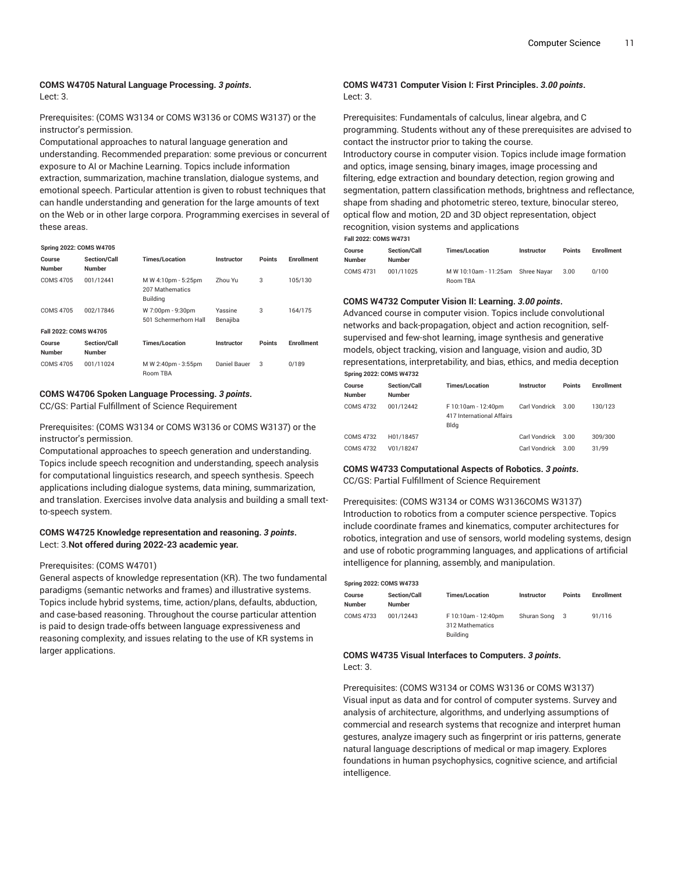# **COMS W4705 Natural Language Processing.** *3 points***.**

Lect: 3.

Prerequisites: (COMS W3134 or COMS W3136 or COMS W3137) or the instructor's permission.

Computational approaches to natural language generation and understanding. Recommended preparation: some previous or concurrent exposure to AI or Machine Learning. Topics include information extraction, summarization, machine translation, dialogue systems, and emotional speech. Particular attention is given to robust techniques that can handle understanding and generation for the large amounts of text on the Web or in other large corpora. Programming exercises in several of these areas.

#### **Spring 2022: COMS W4705**

| Course<br><b>Number</b> | <b>Section/Call</b><br><b>Number</b> | <b>Times/Location</b>                                     | Instructor          | <b>Points</b> | <b>Enrollment</b> |
|-------------------------|--------------------------------------|-----------------------------------------------------------|---------------------|---------------|-------------------|
| COMS 4705               | 001/12441                            | M W 4:10pm - 5:25pm<br>207 Mathematics<br><b>Building</b> | Zhou Yu             | 3             | 105/130           |
| COMS 4705               | 002/17846                            | W 7:00pm - 9:30pm<br>501 Schermerhorn Hall                | Yassine<br>Benajiba | 3             | 164/175           |
| Fall 2022: COMS W4705   |                                      |                                                           |                     |               |                   |
| Course<br><b>Number</b> | Section/Call<br><b>Number</b>        | <b>Times/Location</b>                                     | Instructor          | <b>Points</b> | <b>Enrollment</b> |
| COMS 4705               | 001/11024                            | M W 2:40pm - 3:55pm<br><b>Room TBA</b>                    | Daniel Bauer        | 3             | 0/189             |

#### **COMS W4706 Spoken Language Processing.** *3 points***.**

CC/GS: Partial Fulfillment of Science Requirement

Prerequisites: (COMS W3134 or COMS W3136 or COMS W3137) or the instructor's permission.

Computational approaches to speech generation and understanding. Topics include speech recognition and understanding, speech analysis for computational linguistics research, and speech synthesis. Speech applications including dialogue systems, data mining, summarization, and translation. Exercises involve data analysis and building a small textto-speech system.

#### **COMS W4725 Knowledge representation and reasoning.** *3 points***.** Lect: 3.**Not offered during 2022-23 academic year.**

#### Prerequisites: (COMS W4701)

General aspects of knowledge representation (KR). The two fundamental paradigms (semantic networks and frames) and illustrative systems. Topics include hybrid systems, time, action/plans, defaults, abduction, and case-based reasoning. Throughout the course particular attention is paid to design trade-offs between language expressiveness and reasoning complexity, and issues relating to the use of KR systems in larger applications.

#### **COMS W4731 Computer Vision I: First Principles.** *3.00 points***.** Lect: 3.

Prerequisites: Fundamentals of calculus, linear algebra, and C programming. Students without any of these prerequisites are advised to contact the instructor prior to taking the course.

Introductory course in computer vision. Topics include image formation and optics, image sensing, binary images, image processing and filtering, edge extraction and boundary detection, region growing and segmentation, pattern classification methods, brightness and reflectance, shape from shading and photometric stereo, texture, binocular stereo, optical flow and motion, 2D and 3D object representation, object recognition, vision systems and applications

**Fall 2022: COMS W4731**

| Course<br>Number | <b>Section/Call</b><br><b>Number</b> | <b>Times/Location</b>             | <b>Instructor</b> | <b>Points</b> | <b>Enrollment</b> |
|------------------|--------------------------------------|-----------------------------------|-------------------|---------------|-------------------|
| COMS 4731        | 001/11025                            | M W 10:10am - 11:25am Shree Navar |                   | 3.00          | 0/100             |
|                  |                                      | Room TBA                          |                   |               |                   |

#### **COMS W4732 Computer Vision II: Learning.** *3.00 points***.**

Advanced course in computer vision. Topics include convolutional networks and back-propagation, object and action recognition, selfsupervised and few-shot learning, image synthesis and generative models, object tracking, vision and language, vision and audio, 3D representations, interpretability, and bias, ethics, and media deception **Spring 2022: COMS W4732**

| Course<br><b>Number</b> | <b>Section/Call</b><br><b>Number</b> | <b>Times/Location</b>                                    | Instructor    | <b>Points</b> | <b>Enrollment</b> |
|-------------------------|--------------------------------------|----------------------------------------------------------|---------------|---------------|-------------------|
| COMS 4732               | 001/12442                            | F 10:10am - 12:40pm<br>417 International Affairs<br>Bldg | Carl Vondrick | 3.00          | 130/123           |
| <b>COMS 4732</b>        | H01/18457                            |                                                          | Carl Vondrick | 3.00          | 309/300           |
| <b>COMS 4732</b>        | V01/18247                            |                                                          | Carl Vondrick | 3.00          | 31/99             |

#### **COMS W4733 Computational Aspects of Robotics.** *3 points***.**

CC/GS: Partial Fulfillment of Science Requirement

#### Prerequisites: (COMS W3134 or COMS W3136COMS W3137)

Introduction to robotics from a computer science perspective. Topics include coordinate frames and kinematics, computer architectures for robotics, integration and use of sensors, world modeling systems, design and use of robotic programming languages, and applications of artificial intelligence for planning, assembly, and manipulation.

| <b>Spring 2022: COMS W4733</b> |                                      |                                                    |               |               |                   |  |  |
|--------------------------------|--------------------------------------|----------------------------------------------------|---------------|---------------|-------------------|--|--|
| Course<br>Number               | <b>Section/Call</b><br><b>Number</b> | <b>Times/Location</b>                              | Instructor    | <b>Points</b> | <b>Enrollment</b> |  |  |
| COMS 4733                      | 001/12443                            | F 10:10am - 12:40pm<br>312 Mathematics<br>Building | Shuran Song 3 |               | 91/116            |  |  |

#### **COMS W4735 Visual Interfaces to Computers.** *3 points***.** Lect: 3.

Prerequisites: (COMS W3134 or COMS W3136 or COMS W3137) Visual input as data and for control of computer systems. Survey and analysis of architecture, algorithms, and underlying assumptions of commercial and research systems that recognize and interpret human gestures, analyze imagery such as fingerprint or iris patterns, generate natural language descriptions of medical or map imagery. Explores foundations in human psychophysics, cognitive science, and artificial intelligence.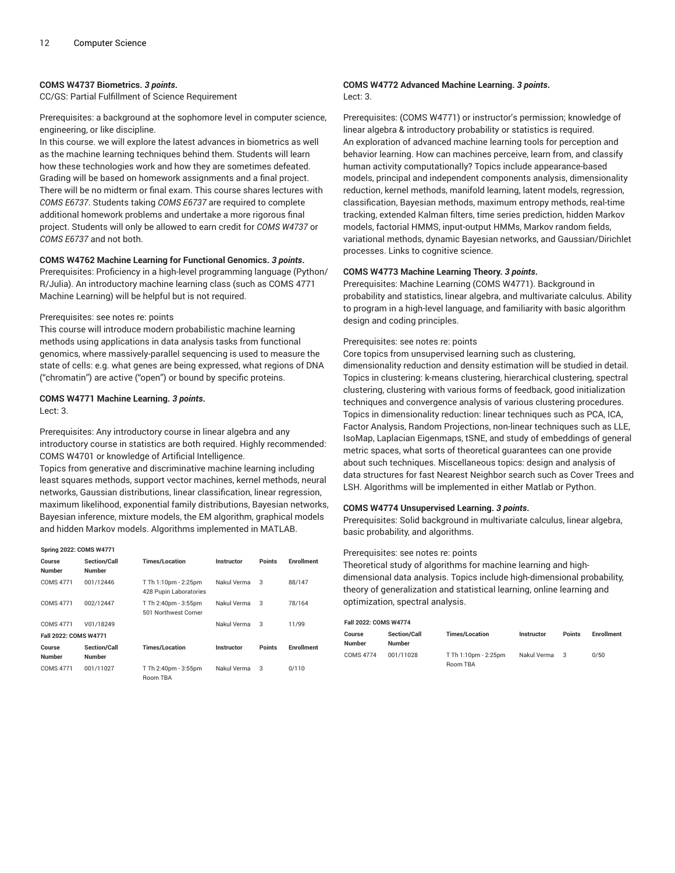#### **COMS W4737 Biometrics.** *3 points***.**

CC/GS: Partial Fulfillment of Science Requirement

Prerequisites: a background at the sophomore level in computer science, engineering, or like discipline.

In this course. we will explore the latest advances in biometrics as well as the machine learning techniques behind them. Students will learn how these technologies work and how they are sometimes defeated. Grading will be based on homework assignments and a final project. There will be no midterm or final exam. This course shares lectures with *COMS E6737*. Students taking *COMS E6737* are required to complete additional homework problems and undertake a more rigorous final project. Students will only be allowed to earn credit for *COMS W4737* or *COMS E6737* and not both.

#### **COMS W4762 Machine Learning for Functional Genomics.** *3 points***.**

Prerequisites: Proficiency in a high-level programming language (Python/ R/Julia). An introductory machine learning class (such as COMS 4771 Machine Learning) will be helpful but is not required.

#### Prerequisites: see notes re: points

This course will introduce modern probabilistic machine learning methods using applications in data analysis tasks from functional genomics, where massively-parallel sequencing is used to measure the state of cells: e.g. what genes are being expressed, what regions of DNA ("chromatin") are active ("open") or bound by specific proteins.

#### **COMS W4771 Machine Learning.** *3 points***.** Lect: 3.

Prerequisites: Any introductory course in linear algebra and any introductory course in statistics are both required. Highly recommended: COMS W4701 or knowledge of Artificial Intelligence.

Topics from generative and discriminative machine learning including least squares methods, support vector machines, kernel methods, neural networks, Gaussian distributions, linear classification, linear regression, maximum likelihood, exponential family distributions, Bayesian networks, Bayesian inference, mixture models, the EM algorithm, graphical models and hidden Markov models. Algorithms implemented in MATLAB.

| <b>Spring 2022: COMS W4771</b> |                                      |                                                |             |               |                   |
|--------------------------------|--------------------------------------|------------------------------------------------|-------------|---------------|-------------------|
| Course<br><b>Number</b>        | <b>Section/Call</b><br><b>Number</b> | <b>Times/Location</b>                          | Instructor  | <b>Points</b> | <b>Enrollment</b> |
| <b>COMS 4771</b>               | 001/12446                            | T Th 1:10pm - 2:25pm<br>428 Pupin Laboratories | Nakul Verma | 3             | 88/147            |
| <b>COMS 4771</b>               | 002/12447                            | T Th 2:40pm - 3:55pm<br>501 Northwest Corner   | Nakul Verma | 3             | 78/164            |
| <b>COMS 4771</b>               | V01/18249                            |                                                | Nakul Verma | 3             | 11/99             |
| Fall 2022: COMS W4771          |                                      |                                                |             |               |                   |
| Course<br><b>Number</b>        | <b>Section/Call</b><br><b>Number</b> | <b>Times/Location</b>                          | Instructor  | <b>Points</b> | <b>Enrollment</b> |
| <b>COMS 4771</b>               | 001/11027                            | T Th 2:40pm - 3:55pm<br><b>Room TBA</b>        | Nakul Verma | 3             | 0/110             |

#### **COMS W4772 Advanced Machine Learning.** *3 points***.** Lect: 3.

Prerequisites: (COMS W4771) or instructor's permission; knowledge of linear algebra & introductory probability or statistics is required. An exploration of advanced machine learning tools for perception and behavior learning. How can machines perceive, learn from, and classify human activity computationally? Topics include appearance-based models, principal and independent components analysis, dimensionality reduction, kernel methods, manifold learning, latent models, regression, classification, Bayesian methods, maximum entropy methods, real-time tracking, extended Kalman filters, time series prediction, hidden Markov models, factorial HMMS, input-output HMMs, Markov random fields, variational methods, dynamic Bayesian networks, and Gaussian/Dirichlet processes. Links to cognitive science.

#### **COMS W4773 Machine Learning Theory.** *3 points***.**

Prerequisites: Machine Learning (COMS W4771). Background in probability and statistics, linear algebra, and multivariate calculus. Ability to program in a high-level language, and familiarity with basic algorithm design and coding principles.

#### Prerequisites: see notes re: points

Core topics from unsupervised learning such as clustering, dimensionality reduction and density estimation will be studied in detail. Topics in clustering: k-means clustering, hierarchical clustering, spectral clustering, clustering with various forms of feedback, good initialization techniques and convergence analysis of various clustering procedures. Topics in dimensionality reduction: linear techniques such as PCA, ICA, Factor Analysis, Random Projections, non-linear techniques such as LLE, IsoMap, Laplacian Eigenmaps, tSNE, and study of embeddings of general metric spaces, what sorts of theoretical guarantees can one provide about such techniques. Miscellaneous topics: design and analysis of data structures for fast Nearest Neighbor search such as Cover Trees and LSH. Algorithms will be implemented in either Matlab or Python.

#### **COMS W4774 Unsupervised Learning.** *3 points***.**

Prerequisites: Solid background in multivariate calculus, linear algebra, basic probability, and algorithms.

#### Prerequisites: see notes re: points

Theoretical study of algorithms for machine learning and highdimensional data analysis. Topics include high-dimensional probability, theory of generalization and statistical learning, online learning and optimization, spectral analysis.

#### **Fall 2022: COMS W4774**

| Course<br>Number | <b>Section/Call</b><br><b>Number</b> | <b>Times/Location</b> | <b>Instructor</b> | <b>Points</b> | <b>Enrollment</b> |
|------------------|--------------------------------------|-----------------------|-------------------|---------------|-------------------|
| COMS 4774        | 001/11028                            | T Th 1:10pm - 2:25pm  | Nakul Verma       | $\mathcal{R}$ | 0/50              |
|                  |                                      | Room TBA              |                   |               |                   |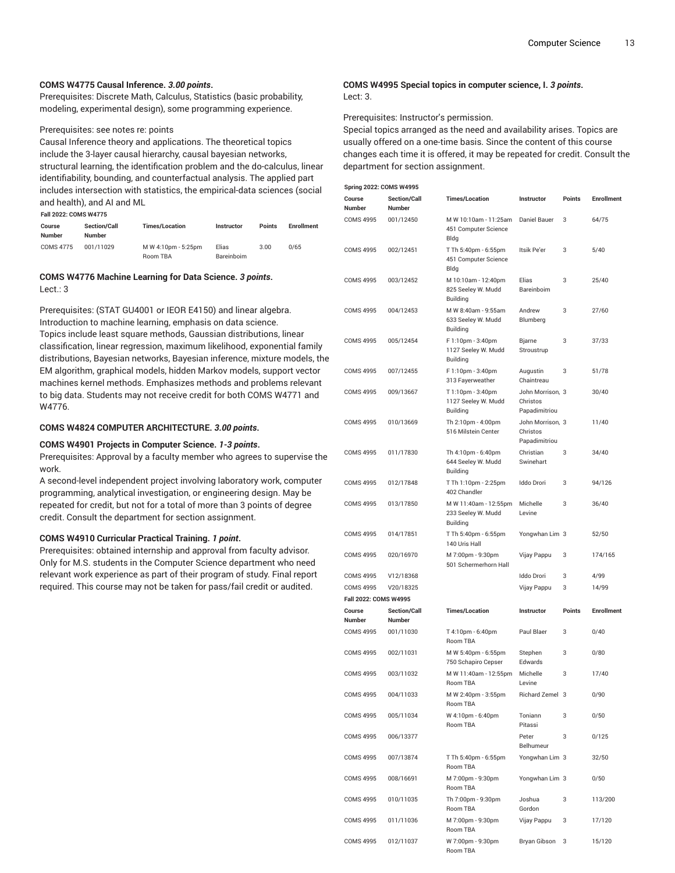#### **COMS W4775 Causal Inference.** *3.00 points***.**

Prerequisites: Discrete Math, Calculus, Statistics (basic probability, modeling, experimental design), some programming experience.

#### Prerequisites: see notes re: points

Causal Inference theory and applications. The theoretical topics include the 3-layer causal hierarchy, causal bayesian networks, structural learning, the identification problem and the do-calculus, linear identifiability, bounding, and counterfactual analysis. The applied part includes intersection with statistics, the empirical-data sciences (social and health), and AI and ML **Fall 2022: COMS W4775**

| <b>Fall ZUZZ: CUMS W4775</b> |                                      |                                 |                     |               |                   |  |
|------------------------------|--------------------------------------|---------------------------------|---------------------|---------------|-------------------|--|
| Course<br>Number             | <b>Section/Call</b><br><b>Number</b> | <b>Times/Location</b>           | <b>Instructor</b>   | <b>Points</b> | <b>Enrollment</b> |  |
| <b>COMS 4775</b>             | 001/11029                            | M W 4:10pm - 5:25pm<br>Room TBA | Elias<br>Bareinboim | 3.00          | 0/65              |  |

#### **COMS W4776 Machine Learning for Data Science.** *3 points***.** Lect.: 3

Prerequisites: (STAT GU4001 or IEOR E4150) and linear algebra. Introduction to machine learning, emphasis on data science. Topics include least square methods, Gaussian distributions, linear classification, linear regression, maximum likelihood, exponential family distributions, Bayesian networks, Bayesian inference, mixture models, the EM algorithm, graphical models, hidden Markov models, support vector machines kernel methods. Emphasizes methods and problems relevant to big data. Students may not receive credit for both COMS W4771 and W4776.

#### **COMS W4824 COMPUTER ARCHITECTURE.** *3.00 points***.**

#### **COMS W4901 Projects in Computer Science.** *1-3 points***.**

Prerequisites: Approval by a faculty member who agrees to supervise the work.

A second-level independent project involving laboratory work, computer programming, analytical investigation, or engineering design. May be repeated for credit, but not for a total of more than 3 points of degree credit. Consult the department for section assignment.

#### **COMS W4910 Curricular Practical Training.** *1 point***.**

Prerequisites: obtained internship and approval from faculty advisor. Only for M.S. students in the Computer Science department who need relevant work experience as part of their program of study. Final report required. This course may not be taken for pass/fail credit or audited.

#### **COMS W4995 Special topics in computer science, I.** *3 points***.** Lect: 3.

Prerequisites: Instructor's permission.

Special topics arranged as the need and availability arises. Topics are usually offered on a one-time basis. Since the content of this course changes each time it is offered, it may be repeated for credit. Consult the department for section assignment.

| <b>Spring 2022: COMS W4995</b>            |                               |                                                                |                                               |               |                   |  |  |
|-------------------------------------------|-------------------------------|----------------------------------------------------------------|-----------------------------------------------|---------------|-------------------|--|--|
| Course<br>Number                          | <b>Section/Call</b><br>Number | <b>Times/Location</b>                                          | Instructor                                    | Points        | <b>Enrollment</b> |  |  |
| <b>COMS 4995</b>                          | 001/12450                     | M W 10:10am - 11:25am<br>451 Computer Science<br>Bldg          | Daniel Bauer                                  | 3             | 64/75             |  |  |
| <b>COMS 4995</b>                          | 002/12451                     | T Th 5:40pm - 6:55pm<br>451 Computer Science<br>Bldg           | Itsik Pe'er                                   | 3             | 5/40              |  |  |
| <b>COMS 4995</b>                          | 003/12452                     | M 10:10am - 12:40pm<br>825 Seeley W. Mudd<br><b>Building</b>   | Elias<br>Bareinboim                           | 3             | 25/40             |  |  |
| <b>COMS 4995</b>                          | 004/12453                     | M W 8:40am - 9:55am<br>633 Seeley W. Mudd<br><b>Building</b>   | Andrew<br>Blumberg                            | 3             | 27/60             |  |  |
| <b>COMS 4995</b>                          | 005/12454                     | F 1:10pm - 3:40pm<br>1127 Seeley W. Mudd<br><b>Building</b>    | Bjarne<br>Stroustrup                          | 3             | 37/33             |  |  |
| <b>COMS 4995</b>                          | 007/12455                     | F 1:10pm - 3:40pm<br>313 Fayerweather                          | Augustin<br>Chaintreau                        | 3             | 51/78             |  |  |
| <b>COMS 4995</b>                          | 009/13667                     | T 1:10pm - 3:40pm<br>1127 Seeley W. Mudd<br><b>Building</b>    | John Morrison, 3<br>Christos<br>Papadimitriou |               | 30/40             |  |  |
| <b>COMS 4995</b>                          | 010/13669                     | Th 2:10pm - 4:00pm<br>516 Milstein Center                      | John Morrison, 3<br>Christos<br>Papadimitriou |               | 11/40             |  |  |
| <b>COMS 4995</b>                          | 011/17830                     | Th 4:10pm - 6:40pm<br>644 Seeley W. Mudd<br><b>Building</b>    | Christian<br>Swinehart                        | 3             | 34/40             |  |  |
| <b>COMS 4995</b>                          | 012/17848                     | T Th 1:10pm - 2:25pm<br>402 Chandler                           | Iddo Drori                                    | 3             | 94/126            |  |  |
| <b>COMS 4995</b>                          | 013/17850                     | M W 11:40am - 12:55pm<br>233 Seeley W. Mudd<br><b>Building</b> | Michelle<br>Levine                            | 3             | 36/40             |  |  |
| <b>COMS 4995</b>                          | 014/17851                     | T Th 5:40pm - 6:55pm<br>140 Uris Hall                          | Yongwhan Lim 3                                |               | 52/50             |  |  |
| <b>COMS 4995</b>                          | 020/16970                     | M 7:00pm - 9:30pm<br>501 Schermerhorn Hall                     | Vijay Pappu                                   | 3             | 174/165           |  |  |
| <b>COMS 4995</b>                          | V12/18368                     |                                                                | <b>Iddo Drori</b>                             | 3             | 4/99              |  |  |
| <b>COMS 4995</b><br>Fall 2022: COMS W4995 | V20/18325                     |                                                                | Vijay Pappu                                   | 3             | 14/99             |  |  |
| Course<br>Number                          | Section/Call<br><b>Number</b> | <b>Times/Location</b>                                          | Instructor                                    | <b>Points</b> | <b>Enrollment</b> |  |  |
| <b>COMS 4995</b>                          | 001/11030                     | T 4:10pm - 6:40pm<br>Room TBA                                  | Paul Blaer                                    | 3             | 0/40              |  |  |
| <b>COMS 4995</b>                          | 002/11031                     | M W 5:40pm - 6:55pm<br>750 Schapiro Cepser                     | Stephen<br>Edwards                            | 3             | 0/80              |  |  |
| <b>COMS 4995</b>                          | 003/11032                     | M W 11:40am - 12:55pm<br>Room TBA                              | Michelle<br>Levine                            | 3             | 17/40             |  |  |
| <b>COMS 4995</b>                          | 004/11033                     | M W 2:40pm - 3:55pm<br>Room TBA                                | Richard Zemel 3                               |               | 0/90              |  |  |
| <b>COMS 4995</b>                          | 005/11034                     | W 4:10pm - 6:40pm<br>Room TBA                                  | Toniann<br>Pitassi                            | 3             | 0/50              |  |  |
| <b>COMS 4995</b>                          | 006/13377                     |                                                                | Peter<br>Belhumeur                            | 3             | 0/125             |  |  |
| <b>COMS 4995</b>                          | 007/13874                     | T Th 5:40pm - 6:55pm<br>Room TBA                               | Yongwhan Lim 3                                |               | 32/50             |  |  |
| <b>COMS 4995</b>                          | 008/16691                     | M 7:00pm - 9:30pm<br>Room TBA                                  | Yongwhan Lim 3                                |               | 0/50              |  |  |
| <b>COMS 4995</b>                          | 010/11035                     | Th 7:00pm - 9:30pm<br>Room TBA                                 | Joshua<br>Gordon                              | 3             | 113/200           |  |  |
| <b>COMS 4995</b>                          | 011/11036                     | M 7:00pm - 9:30pm<br>Room TBA                                  | Vijay Pappu                                   | 3             | 17/120            |  |  |
| <b>COMS 4995</b>                          | 012/11037                     | W 7:00pm - 9:30pm                                              | Bryan Gibson                                  | 3             | 15/120            |  |  |

Room TBA